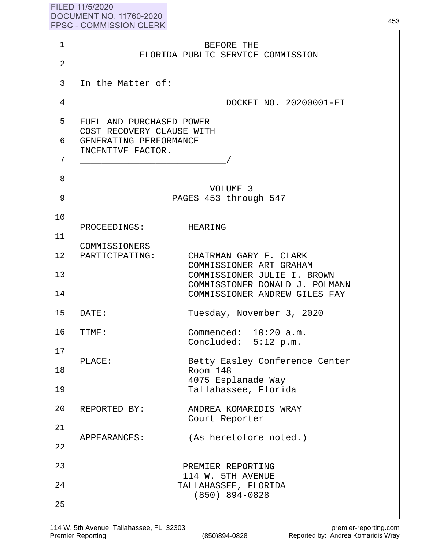| FILED 11/5/2020                |
|--------------------------------|
| DOCUMENT NO. 11760-2020        |
| <b>FPSC - COMMISSION CLERK</b> |
|                                |

|                | <u>I I UU - UUININIUUIUN ULLINN</u>                             |
|----------------|-----------------------------------------------------------------|
| $\mathbf{1}$   | BEFORE THE                                                      |
| $\overline{a}$ | FLORIDA PUBLIC SERVICE COMMISSION                               |
| 3              | In the Matter of:                                               |
| 4              | DOCKET NO. 20200001-EI                                          |
| 5              | FUEL AND PURCHASED POWER                                        |
| 6              | COST RECOVERY CLAUSE WITH<br>GENERATING PERFORMANCE             |
| 7              | INCENTIVE FACTOR.                                               |
| 8              |                                                                 |
| 9              | VOLUME 3<br>PAGES 453 through 547                               |
| 10             |                                                                 |
| 11             | PROCEEDINGS: HEARING                                            |
|                | COMMISSIONERS<br>12 PARTICIPATING:<br>CHAIRMAN GARY F. CLARK    |
| 13             | COMMISSIONER ART GRAHAM<br>COMMISSIONER JULIE I. BROWN          |
| 14             | COMMISSIONER DONALD J. POLMANN<br>COMMISSIONER ANDREW GILES FAY |
| 15             | Tuesday, November 3, 2020<br>DATE:                              |
| 16             | Commenced: 10:20 a.m.<br>TIME:<br>Concluded: 5:12 p.m.          |
| 17             | Betty Easley Conference Center<br>PLACE:                        |
| 18             | Room 148<br>4075 Esplanade Way                                  |
| 19             | Tallahassee, Florida                                            |
| 20             | ANDREA KOMARIDIS WRAY<br>REPORTED BY:<br>Court Reporter         |
| 21             | (As heretofore noted.)<br>APPEARANCES:                          |
| 22             |                                                                 |
| 23             | PREMIER REPORTING<br>114 W. 5TH AVENUE                          |
| 24             | TALLAHASSEE, FLORIDA<br>$(850)$ 894-0828                        |
| 25             |                                                                 |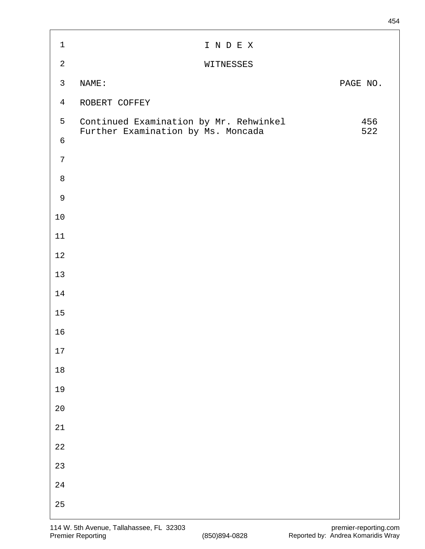| $\mathbf 1$    | I N D E X                                                                    |            |
|----------------|------------------------------------------------------------------------------|------------|
| $\sqrt{2}$     | WITNESSES                                                                    |            |
| $\mathsf{3}$   | NAME:                                                                        | PAGE NO.   |
| $\overline{4}$ | ROBERT COFFEY                                                                |            |
| 5              | Continued Examination by Mr. Rehwinkel<br>Further Examination by Ms. Moncada | 456<br>522 |
| $\sqrt{6}$     |                                                                              |            |
| $\overline{7}$ |                                                                              |            |
| $\,8\,$        |                                                                              |            |
| $\mathsf 9$    |                                                                              |            |
| $10$           |                                                                              |            |
| $11\,$         |                                                                              |            |
| $1\,2$         |                                                                              |            |
| 13             |                                                                              |            |
| $14$           |                                                                              |            |
| $15$           |                                                                              |            |
| 16             |                                                                              |            |
| $17\,$         |                                                                              |            |
| $18\,$         |                                                                              |            |
| 19             |                                                                              |            |
| $2\,0$         |                                                                              |            |
| $2\sqrt{1}$    |                                                                              |            |
| $2\sqrt{2}$    |                                                                              |            |
| 23             |                                                                              |            |
| $2\sqrt{4}$    |                                                                              |            |
| 25             |                                                                              |            |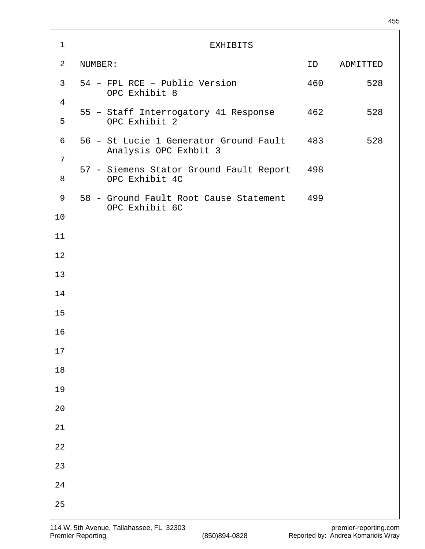| $\mathbf 1$                      | <b>EXHIBITS</b>                                                     |     |            |
|----------------------------------|---------------------------------------------------------------------|-----|------------|
| $\overline{2}$                   | NUMBER:                                                             | ID  | ADMITTED   |
| 3 <sup>7</sup><br>$\overline{4}$ | 54 - FPL RCE - Public Version<br>OPC Exhibit 8                      |     | 460<br>528 |
| 5                                | 55 - Staff Interrogatory 41 Response<br>OPC Exhibit 2               | 462 | 528        |
| 6                                | 56 - St Lucie 1 Generator Ground Fault 483<br>Analysis OPC Exhbit 3 |     | 528        |
| 7<br>8                           | 57 - Siemens Stator Ground Fault Report<br>OPC Exhibit 4C           | 498 |            |
| 9                                | 58 - Ground Fault Root Cause Statement 499<br>OPC Exhibit 6C        |     |            |
| 10                               |                                                                     |     |            |
| 11                               |                                                                     |     |            |
| 12                               |                                                                     |     |            |
| 13                               |                                                                     |     |            |
| 14                               |                                                                     |     |            |
| 15                               |                                                                     |     |            |
| 16                               |                                                                     |     |            |
| $17$                             |                                                                     |     |            |
| $18\,$                           |                                                                     |     |            |
| 19                               |                                                                     |     |            |
| $20$                             |                                                                     |     |            |
| $2\sqrt{1}$                      |                                                                     |     |            |
| $2\sqrt{2}$                      |                                                                     |     |            |
| 23                               |                                                                     |     |            |
| $2\sqrt{4}$                      |                                                                     |     |            |
| 25                               |                                                                     |     |            |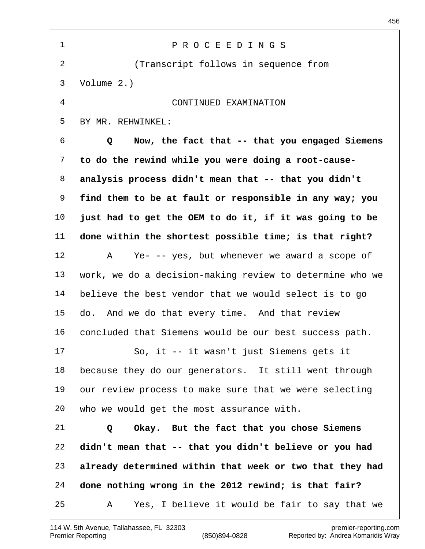| $\mathbf 1$ | PROCEEDINGS                                              |
|-------------|----------------------------------------------------------|
| 2           | (Transcript follows in sequence from                     |
| 3           | Volume $2.$ )                                            |
| 4           | CONTINUED EXAMINATION                                    |
| 5           | BY MR. REHWINKEL:                                        |
| 6           | Now, the fact that -- that you engaged Siemens<br>Q      |
| 7           | to do the rewind while you were doing a root-cause-      |
| 8           | analysis process didn't mean that -- that you didn't     |
| 9           | find them to be at fault or responsible in any way; you  |
| $10 \,$     | just had to get the OEM to do it, if it was going to be  |
| 11          | done within the shortest possible time; is that right?   |
| 12          | Ye- -- yes, but whenever we award a scope of<br>Α        |
| 13          | work, we do a decision-making review to determine who we |
| 14          | believe the best vendor that we would select is to go    |
| 15          | do. And we do that every time. And that review           |
| 16          | concluded that Siemens would be our best success path.   |
| 17          | So, it -- it wasn't just Siemens gets it                 |
| 18          | because they do our generators. It still went through    |
| 19          | our review process to make sure that we were selecting   |
| 20          | who we would get the most assurance with.                |
| 21          | Okay. But the fact that you chose Siemens<br>Q           |
| 22          | didn't mean that -- that you didn't believe or you had   |
| 23          | already determined within that week or two that they had |
| 24          | done nothing wrong in the 2012 rewind; is that fair?     |
| 25          | Yes, I believe it would be fair to say that we<br>A      |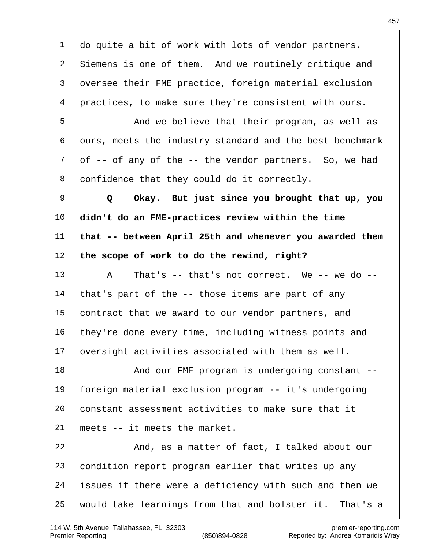do quite a bit of work with lots of vendor partners. Siemens is one of them. And we routinely critique and oversee their FME practice, foreign material exclusion practices, to make sure they're consistent with ours. And we believe that their program, as well as ours, meets the industry standard and the best benchmark of -- of any of the -- the vendor partners. So, we had confidence that they could do it correctly.  **Q Okay. But just since you brought that up, you didn't do an FME-practices review within the time that -- between April 25th and whenever you awarded them the scope of work to do the rewind, right?** A That's -- that's not correct. We -- we do -- that's part of the -- those items are part of any contract that we award to our vendor partners, and they're done every time, including witness points and oversight activities associated with them as well. 18 And our FME program is undergoing constant -- foreign material exclusion program -- it's undergoing constant assessment activities to make sure that it meets -- it meets the market. And, as a matter of fact, I talked about our condition report program earlier that writes up any issues if there were a deficiency with such and then we would take learnings from that and bolster it. That's a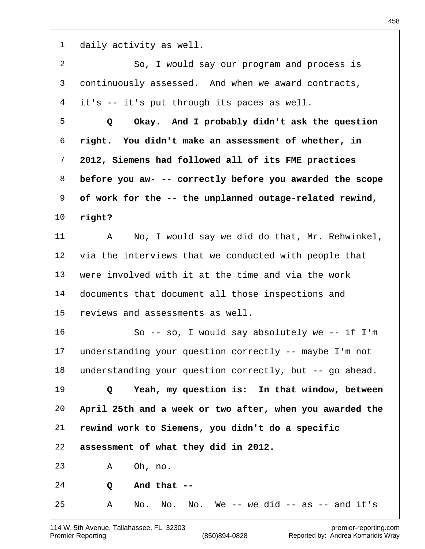daily activity as well. So, I would say our program and process is continuously assessed. And when we award contracts, it's -- it's put through its paces as well.  **Q Okay. And I probably didn't ask the question right. You didn't make an assessment of whether, in 2012, Siemens had followed all of its FME practices before you aw- -- correctly before you awarded the scope of work for the -- the unplanned outage-related rewind, right?** A No, I would say we did do that, Mr. Rehwinkel, via the interviews that we conducted with people that were involved with it at the time and via the work documents that document all those inspections and reviews and assessments as well. So -- so, I would say absolutely we -- if I'm understanding your question correctly -- maybe I'm not understanding your question correctly, but -- go ahead.  **Q Yeah, my question is: In that window, between April 25th and a week or two after, when you awarded the rewind work to Siemens, you didn't do a specific assessment of what they did in 2012.** A Oh, no.  **Q And that --** A No. No. No. We  $-$  we did  $-$  as  $-$  and it's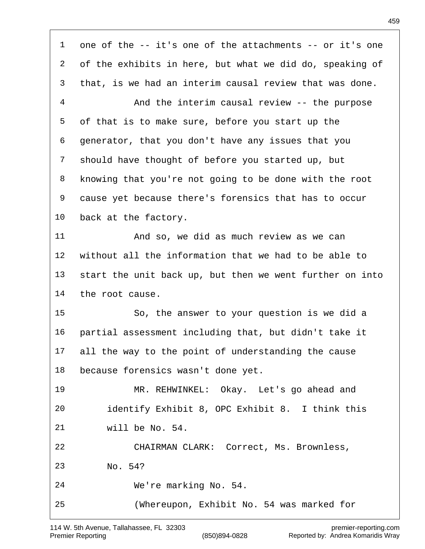one of the -- it's one of the attachments -- or it's one of the exhibits in here, but what we did do, speaking of that, is we had an interim causal review that was done. And the interim causal review -- the purpose of that is to make sure, before you start up the generator, that you don't have any issues that you should have thought of before you started up, but knowing that you're not going to be done with the root cause yet because there's forensics that has to occur back at the factory. And so, we did as much review as we can without all the information that we had to be able to start the unit back up, but then we went further on into the root cause. So, the answer to your question is we did a partial assessment including that, but didn't take it all the way to the point of understanding the cause because forensics wasn't done yet. MR. REHWINKEL: Okay. Let's go ahead and identify Exhibit 8, OPC Exhibit 8. I think this will be No. 54. CHAIRMAN CLARK: Correct, Ms. Brownless, No. 54? We're marking No. 54. (Whereupon, Exhibit No. 54 was marked for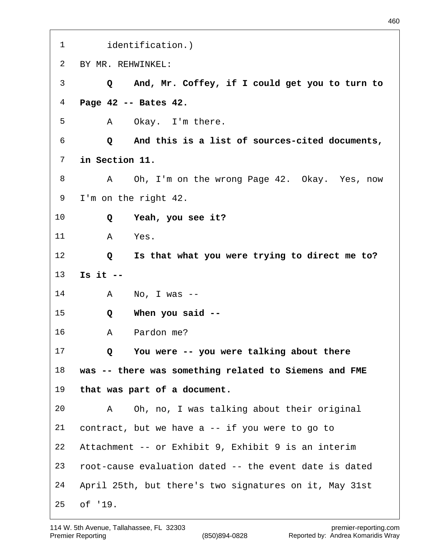identification.) BY MR. REHWINKEL:  **Q And, Mr. Coffey, if I could get you to turn to Page 42 -- Bates 42.** A Okay. I'm there.  **Q And this is a list of sources-cited documents, in Section 11.** A Oh, I'm on the wrong Page 42. Okay. Yes, now I'm on the right 42.  **Q Yeah, you see it?** A Yes.  **Q Is that what you were trying to direct me to? Is it --** A No, I was --  **Q When you said --** A Pardon me?  **Q You were -- you were talking about there was -- there was something related to Siemens and FME that was part of a document.** A Oh, no, I was talking about their original contract, but we have a -- if you were to go to Attachment -- or Exhibit 9, Exhibit 9 is an interim root-cause evaluation dated -- the event date is dated April 25th, but there's two signatures on it, May 31st of '19.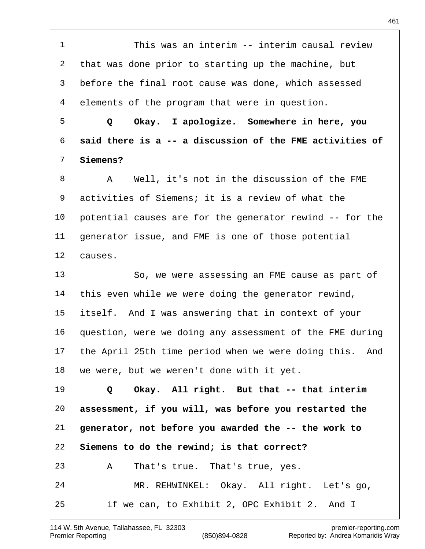This was an interim -- interim causal review that was done prior to starting up the machine, but before the final root cause was done, which assessed elements of the program that were in question.  **Q Okay. I apologize. Somewhere in here, you said there is a -- a discussion of the FME activities of Siemens?** A Well, it's not in the discussion of the FME activities of Siemens; it is a review of what the potential causes are for the generator rewind -- for the generator issue, and FME is one of those potential causes. So, we were assessing an FME cause as part of this even while we were doing the generator rewind, itself. And I was answering that in context of your question, were we doing any assessment of the FME during the April 25th time period when we were doing this. And we were, but we weren't done with it yet.  **Q Okay. All right. But that -- that interim assessment, if you will, was before you restarted the generator, not before you awarded the -- the work to Siemens to do the rewind; is that correct?** A That's true. That's true, yes. MR. REHWINKEL: Okay. All right. Let's go, if we can, to Exhibit 2, OPC Exhibit 2. And I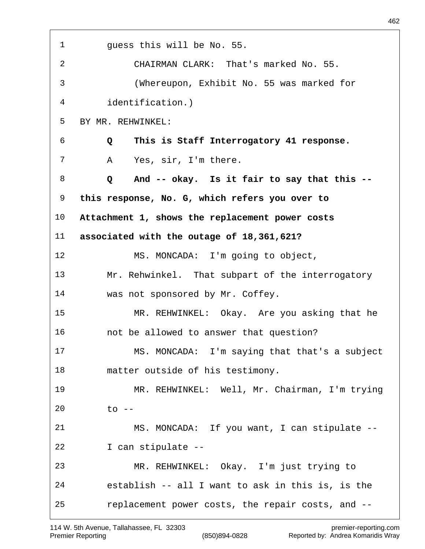| $\mathbf{1}$    | guess this will be No. 55.                        |
|-----------------|---------------------------------------------------|
| $\overline{2}$  | CHAIRMAN CLARK: That's marked No. 55.             |
| 3               | (Whereupon, Exhibit No. 55 was marked for         |
| 4               | identification.)                                  |
| 5               | BY MR. REHWINKEL:                                 |
| 6               | This is Staff Interrogatory 41 response.<br>Q     |
| 7               | Yes, sir, I'm there.<br>Α                         |
| 8               | And -- okay. Is it fair to say that this --<br>Q  |
| 9               | this response, No. G, which refers you over to    |
| 10 <sub>o</sub> | Attachment 1, shows the replacement power costs   |
| 11 <sub>1</sub> | associated with the outage of 18,361,621?         |
| 12              | MS. MONCADA: I'm going to object,                 |
| 13              | Mr. Rehwinkel. That subpart of the interrogatory  |
| 14              | was not sponsored by Mr. Coffey.                  |
| 15              | MR. REHWINKEL: Okay. Are you asking that he       |
| 16              | not be allowed to answer that question?           |
| 17              | MS. MONCADA: I'm saying that that's a subject     |
| 18              | matter outside of his testimony.                  |
| 19              | MR. REHWINKEL: Well, Mr. Chairman, I'm trying     |
| 20              | $\overline{t}$ o --                               |
| 21              | MS. MONCADA: If you want, I can stipulate --      |
| 22              | I can stipulate --                                |
| 23              | MR. REHWINKEL: Okay. I'm just trying to           |
| 24              | establish -- all I want to ask in this is, is the |
| 25              | replacement power costs, the repair costs, and -- |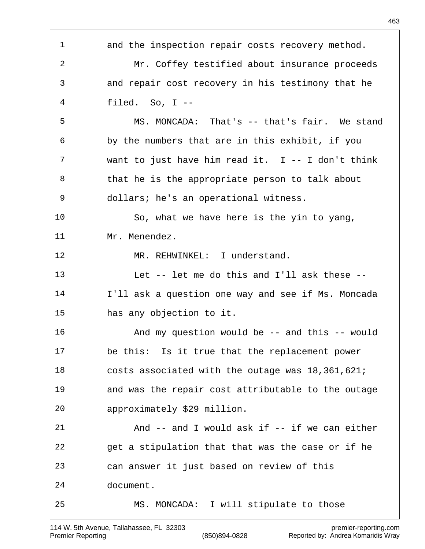and the inspection repair costs recovery method. Mr. Coffey testified about insurance proceeds and repair cost recovery in his testimony that he filed. So, I -- MS. MONCADA: That's -- that's fair. We stand by the numbers that are in this exhibit, if you want to just have him read it. I -- I don't think 8 that he is the appropriate person to talk about dollars; he's an operational witness. So, what we have here is the yin to yang, Mr. Menendez. 12 MR. REHWINKEL: I understand. Let -- let me do this and I'll ask these -- I'll ask a question one way and see if Ms. Moncada has any objection to it. And my question would be -- and this -- would be this: Is it true that the replacement power costs associated with the outage was 18,361,621; and was the repair cost attributable to the outage approximately \$29 million. And -- and I would ask if -- if we can either get a stipulation that that was the case or if he can answer it just based on review of this document. MS. MONCADA: I will stipulate to those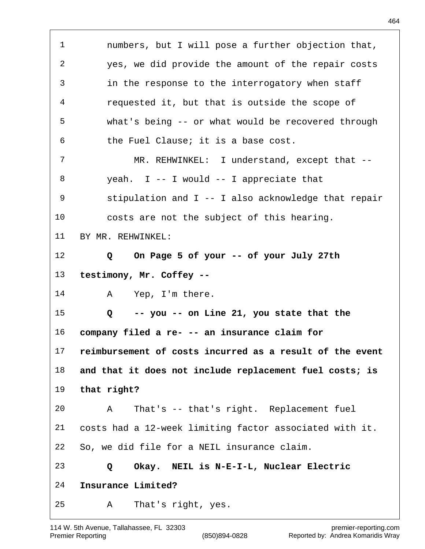numbers, but I will pose a further objection that, yes, we did provide the amount of the repair costs in the response to the interrogatory when staff requested it, but that is outside the scope of what's being -- or what would be recovered through the Fuel Clause; it is a base cost. 7 MR. REHWINKEL: I understand, except that -- yeah. I -- I would -- I appreciate that stipulation and I -- I also acknowledge that repair costs are not the subject of this hearing. BY MR. REHWINKEL:  **Q On Page 5 of your -- of your July 27th testimony, Mr. Coffey --** 14 A Yep, I'm there.  **Q -- you -- on Line 21, you state that the company filed a re- -- an insurance claim for reimbursement of costs incurred as a result of the event and that it does not include replacement fuel costs; is that right?** A That's -- that's right. Replacement fuel costs had a 12-week limiting factor associated with it. So, we did file for a NEIL insurance claim.  **Q Okay. NEIL is N-E-I-L, Nuclear Electric Insurance Limited?** A That's right, yes.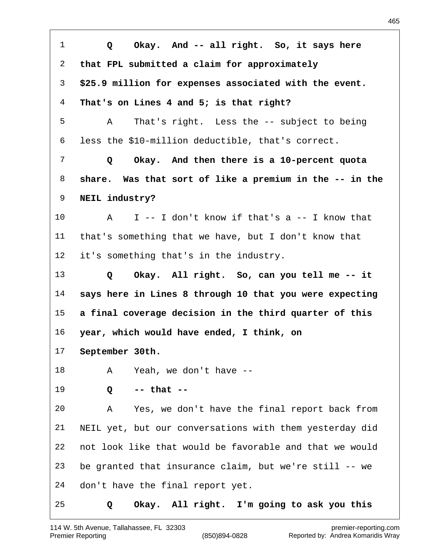| $\mathbf{1}$    | Okay. And -- all right. So, it says here<br>Q           |
|-----------------|---------------------------------------------------------|
| 2               | that FPL submitted a claim for approximately            |
| 3               | \$25.9 million for expenses associated with the event.  |
| $\overline{4}$  | That's on Lines 4 and 5; is that right?                 |
| 5               | That's right. Less the -- subject to being<br>A         |
| 6               | less the \$10-million deductible, that's correct.       |
| 7               | Okay. And then there is a 10-percent quota<br>Q         |
| 8               | share. Was that sort of like a premium in the -- in the |
| 9               | NEIL industry?                                          |
| 10              | $I$ -- I don't know if that's a -- I know that<br>A     |
| 11              | that's something that we have, but I don't know that    |
| 12 <sub>1</sub> | it's something that's in the industry.                  |
| 13              | Okay. All right. So, can you tell me -- it<br>Q         |
| 14              | says here in Lines 8 through 10 that you were expecting |
| 15              | a final coverage decision in the third quarter of this  |
| 16              | year, which would have ended, I think, on               |
| 17              | September 30th.                                         |
| 18              | Yeah, we don't have --<br>A                             |
| 19              | $--$ that $--$<br>Q                                     |
| 20              | Yes, we don't have the final report back from<br>Α      |
| 21              | NEIL yet, but our conversations with them yesterday did |
| 22              | not look like that would be favorable and that we would |
| 23              | be granted that insurance claim, but we're still -- we  |
| 24              | don't have the final report yet.                        |
| 25              | Okay. All right. I'm going to ask you this<br>Q         |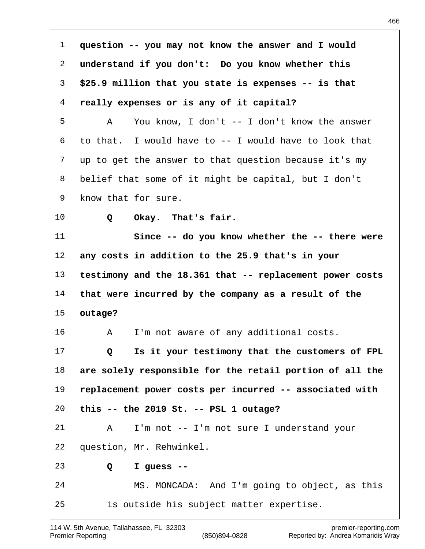**question -- you may not know the answer and I would understand if you don't: Do you know whether this \$25.9 million that you state is expenses -- is that really expenses or is any of it capital?** A You know, I don't -- I don't know the answer to that. I would have to -- I would have to look that up to get the answer to that question because it's my belief that some of it might be capital, but I don't know that for sure.  **Q Okay. That's fair. Since -- do you know whether the -- there were any costs in addition to the 25.9 that's in your testimony and the 18.361 that -- replacement power costs that were incurred by the company as a result of the outage?** A I'm not aware of any additional costs.  **Q Is it your testimony that the customers of FPL are solely responsible for the retail portion of all the replacement power costs per incurred -- associated with this -- the 2019 St. -- PSL 1 outage?** A I'm not -- I'm not sure I understand your question, Mr. Rehwinkel.  **Q I guess --** MS. MONCADA: And I'm going to object, as this is outside his subject matter expertise.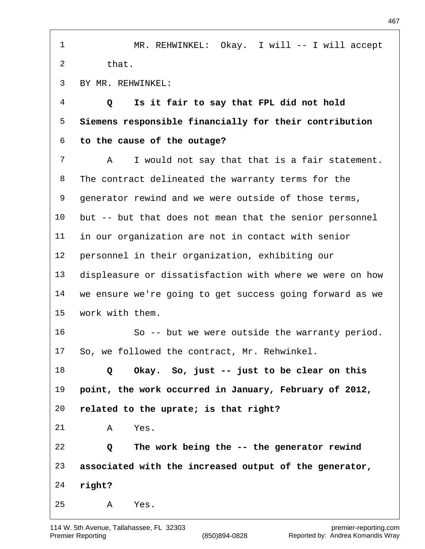| 1              | MR. REHWINKEL: Okay. I will -- I will accept             |
|----------------|----------------------------------------------------------|
| 2              | that.                                                    |
| 3              | BY MR. REHWINKEL:                                        |
| $\overline{4}$ | Is it fair to say that FPL did not hold<br>Q             |
| 5              | Siemens responsible financially for their contribution   |
| 6              | to the cause of the outage?                              |
| 7              | I would not say that that is a fair statement.<br>Α      |
| 8              | The contract delineated the warranty terms for the       |
| 9              | generator rewind and we were outside of those terms,     |
| 10             | but -- but that does not mean that the senior personnel  |
| 11             | in our organization are not in contact with senior       |
| 12             | personnel in their organization, exhibiting our          |
| 13             | displeasure or dissatisfaction with where we were on how |
| 14             | we ensure we're going to get success going forward as we |
| 15             | work with them.                                          |
| 16             | So -- but we were outside the warranty period.           |
| 17             | So, we followed the contract, Mr. Rehwinkel.             |
| 18             | Okay. So, just -- just to be clear on this<br>Q          |
| 19             | point, the work occurred in January, February of 2012,   |
| 20             | related to the uprate; is that right?                    |
| 21             | Α<br>Yes.                                                |
| 22             | The work being the -- the generator rewind<br>Q          |
| 23             | associated with the increased output of the generator,   |
| 24             | right?                                                   |
| 25             | Yes.<br>Α                                                |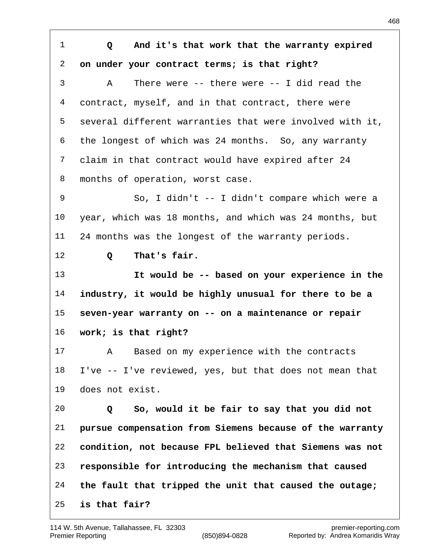**Q And it's that work that the warranty expired on under your contract terms; is that right?** A There were -- there were -- I did read the contract, myself, and in that contract, there were several different warranties that were involved with it, the longest of which was 24 months. So, any warranty claim in that contract would have expired after 24 months of operation, worst case. So, I didn't -- I didn't compare which were a year, which was 18 months, and which was 24 months, but 24 months was the longest of the warranty periods.  **Q That's fair. It would be -- based on your experience in the industry, it would be highly unusual for there to be a seven-year warranty on -- on a maintenance or repair work; is that right?** A Based on my experience with the contracts I've -- I've reviewed, yes, but that does not mean that does not exist.  **Q So, would it be fair to say that you did not pursue compensation from Siemens because of the warranty condition, not because FPL believed that Siemens was not responsible for introducing the mechanism that caused the fault that tripped the unit that caused the outage; is that fair?**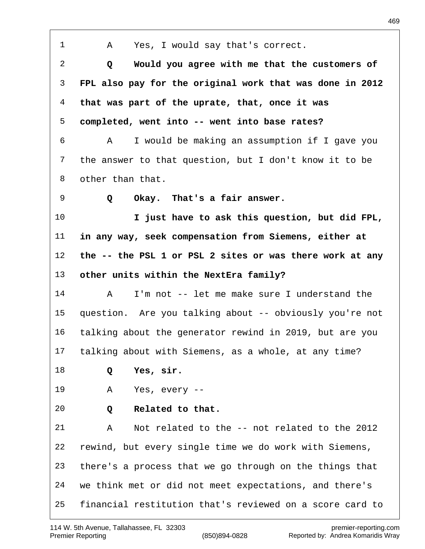A Yes, I would say that's correct.  **Q Would you agree with me that the customers of FPL also pay for the original work that was done in 2012 that was part of the uprate, that, once it was completed, went into -- went into base rates?** A I would be making an assumption if I gave you the answer to that question, but I don't know it to be other than that.  **Q Okay. That's a fair answer. I just have to ask this question, but did FPL, in any way, seek compensation from Siemens, either at the -- the PSL 1 or PSL 2 sites or was there work at any other units within the NextEra family?** A I'm not -- let me make sure I understand the question. Are you talking about -- obviously you're not talking about the generator rewind in 2019, but are you talking about with Siemens, as a whole, at any time?  **Q Yes, sir.** A Yes, every --  **Q Related to that.** A Not related to the -- not related to the 2012 rewind, but every single time we do work with Siemens, there's a process that we go through on the things that we think met or did not meet expectations, and there's financial restitution that's reviewed on a score card to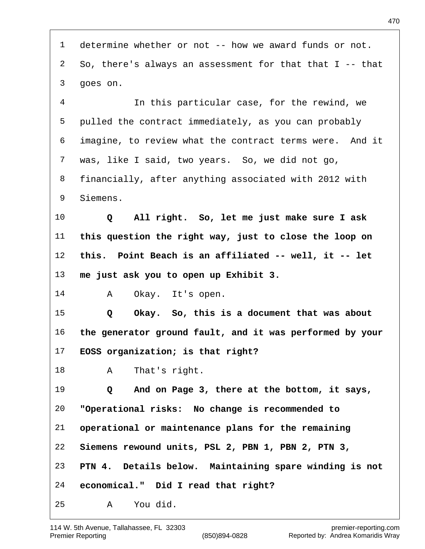determine whether or not -- how we award funds or not. So, there's always an assessment for that that I -- that goes on.

 In this particular case, for the rewind, we pulled the contract immediately, as you can probably imagine, to review what the contract terms were. And it was, like I said, two years. So, we did not go, financially, after anything associated with 2012 with Siemens.

 **Q All right. So, let me just make sure I ask this question the right way, just to close the loop on this. Point Beach is an affiliated -- well, it -- let me just ask you to open up Exhibit 3.**

A Okay. It's open.

 **Q Okay. So, this is a document that was about the generator ground fault, and it was performed by your EOSS organization; is that right?**

A That's right.

 **Q And on Page 3, there at the bottom, it says, "Operational risks: No change is recommended to operational or maintenance plans for the remaining Siemens rewound units, PSL 2, PBN 1, PBN 2, PTN 3, PTN 4. Details below. Maintaining spare winding is not economical." Did I read that right?** A You did.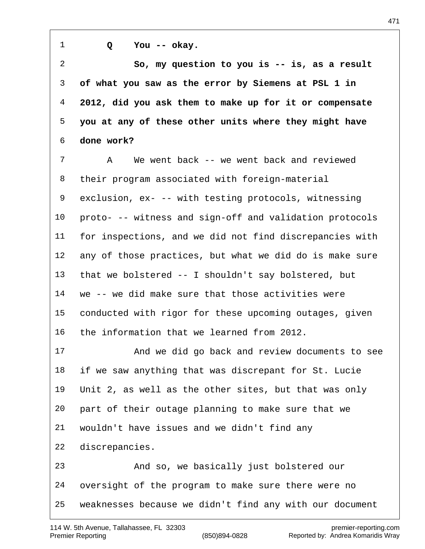**Q You -- okay. So, my question to you is -- is, as a result of what you saw as the error by Siemens at PSL 1 in 2012, did you ask them to make up for it or compensate you at any of these other units where they might have done work?** A We went back -- we went back and reviewed their program associated with foreign-material exclusion, ex- -- with testing protocols, witnessing proto- -- witness and sign-off and validation protocols for inspections, and we did not find discrepancies with any of those practices, but what we did do is make sure that we bolstered -- I shouldn't say bolstered, but we -- we did make sure that those activities were conducted with rigor for these upcoming outages, given the information that we learned from 2012. And we did go back and review documents to see if we saw anything that was discrepant for St. Lucie Unit 2, as well as the other sites, but that was only part of their outage planning to make sure that we wouldn't have issues and we didn't find any discrepancies. And so, we basically just bolstered our oversight of the program to make sure there were no weaknesses because we didn't find any with our document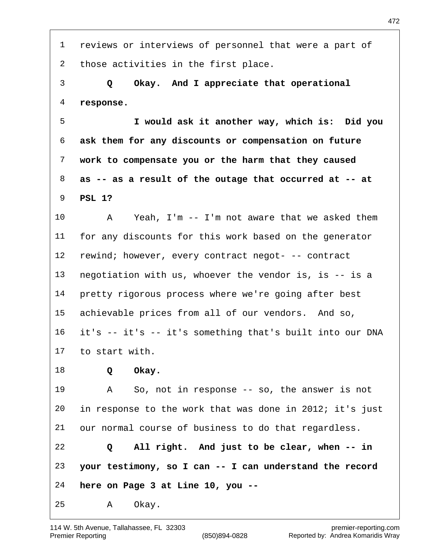reviews or interviews of personnel that were a part of those activities in the first place.  **Q Okay. And I appreciate that operational response. I would ask it another way, which is: Did you ask them for any discounts or compensation on future work to compensate you or the harm that they caused as -- as a result of the outage that occurred at -- at PSL 1?** A Yeah, I'm -- I'm not aware that we asked them for any discounts for this work based on the generator rewind; however, every contract negot- -- contract negotiation with us, whoever the vendor is, is -- is a pretty rigorous process where we're going after best achievable prices from all of our vendors. And so, it's -- it's -- it's something that's built into our DNA to start with.  **Q Okay.** A So, not in response -- so, the answer is not in response to the work that was done in 2012; it's just our normal course of business to do that regardless.  **Q All right. And just to be clear, when -- in your testimony, so I can -- I can understand the record here on Page 3 at Line 10, you --** A Okay.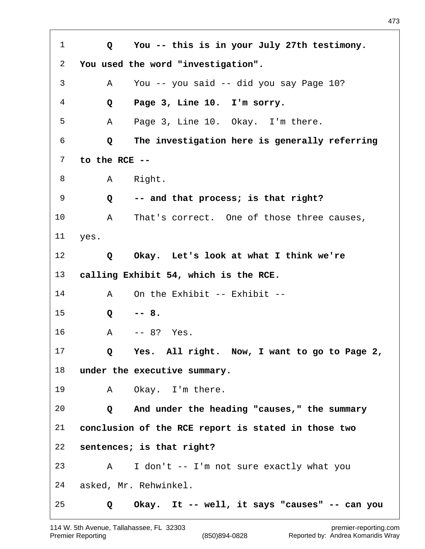**Q You -- this is in your July 27th testimony. You used the word "investigation".** A You -- you said -- did you say Page 10?  **Q Page 3, Line 10. I'm sorry.** A Page 3, Line 10. Okay. I'm there.  **Q The investigation here is generally referring to the RCE --** 8 A Right.  **Q -- and that process; is that right?** A That's correct. One of those three causes, yes.  **Q Okay. Let's look at what I think we're calling Exhibit 54, which is the RCE.** 14 A On the Exhibit -- Exhibit -- **Q -- 8.** A -- 8? Yes.  **Q Yes. All right. Now, I want to go to Page 2, under the executive summary.** A Okay. I'm there.  **Q And under the heading "causes," the summary conclusion of the RCE report is stated in those two sentences; is that right?** A I don't -- I'm not sure exactly what you asked, Mr. Rehwinkel.  **Q Okay. It -- well, it says "causes" -- can you**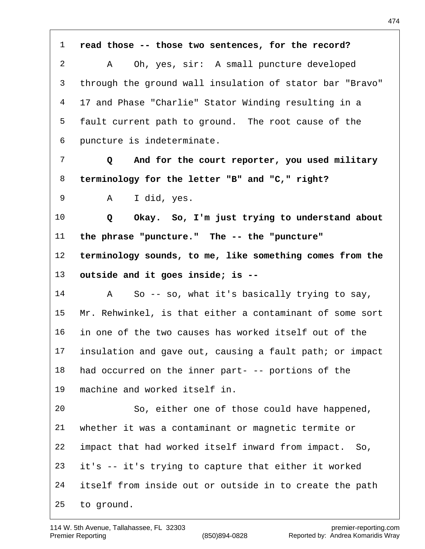**read those -- those two sentences, for the record?** A Oh, yes, sir: A small puncture developed through the ground wall insulation of stator bar "Bravo" 17 and Phase "Charlie" Stator Winding resulting in a fault current path to ground. The root cause of the puncture is indeterminate.  **Q And for the court reporter, you used military terminology for the letter "B" and "C," right?** A I did, yes.  **Q Okay. So, I'm just trying to understand about the phrase "puncture." The -- the "puncture" terminology sounds, to me, like something comes from the outside and it goes inside; is --** A So -- so, what it's basically trying to say, Mr. Rehwinkel, is that either a contaminant of some sort in one of the two causes has worked itself out of the insulation and gave out, causing a fault path; or impact had occurred on the inner part- -- portions of the machine and worked itself in. So, either one of those could have happened, whether it was a contaminant or magnetic termite or impact that had worked itself inward from impact. So, it's -- it's trying to capture that either it worked itself from inside out or outside in to create the path to ground.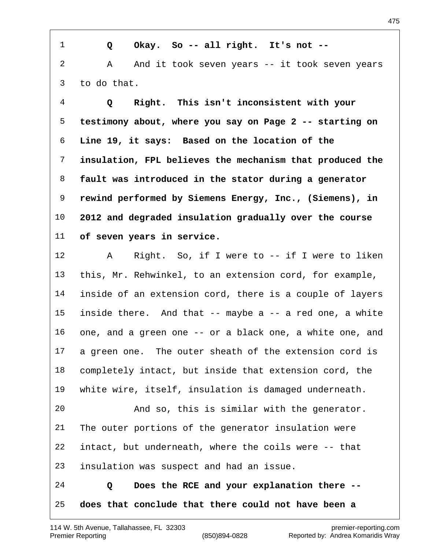**Q Okay. So -- all right. It's not --** 2 A And it took seven years -- it took seven years to do that.

 **Q Right. This isn't inconsistent with your testimony about, where you say on Page 2 -- starting on Line 19, it says: Based on the location of the insulation, FPL believes the mechanism that produced the fault was introduced in the stator during a generator rewind performed by Siemens Energy, Inc., (Siemens), in 2012 and degraded insulation gradually over the course of seven years in service.**

 A Right. So, if I were to -- if I were to liken this, Mr. Rehwinkel, to an extension cord, for example, inside of an extension cord, there is a couple of layers inside there. And that -- maybe a -- a red one, a white one, and a green one -- or a black one, a white one, and a green one. The outer sheath of the extension cord is completely intact, but inside that extension cord, the white wire, itself, insulation is damaged underneath. And so, this is similar with the generator. The outer portions of the generator insulation were intact, but underneath, where the coils were -- that insulation was suspect and had an issue.

 **Q Does the RCE and your explanation there -- does that conclude that there could not have been a**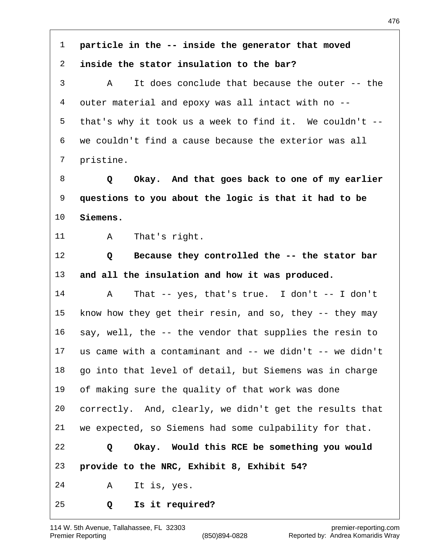**particle in the -- inside the generator that moved inside the stator insulation to the bar?** A It does conclude that because the outer -- the outer material and epoxy was all intact with no -- that's why it took us a week to find it. We couldn't -- we couldn't find a cause because the exterior was all pristine.  **Q Okay. And that goes back to one of my earlier questions to you about the logic is that it had to be Siemens.** 11 A That's right.  **Q Because they controlled the -- the stator bar and all the insulation and how it was produced.** A That -- yes, that's true. I don't -- I don't 15 know how they get their resin, and so, they -- they may say, well, the -- the vendor that supplies the resin to us came with a contaminant and -- we didn't -- we didn't go into that level of detail, but Siemens was in charge of making sure the quality of that work was done correctly. And, clearly, we didn't get the results that we expected, so Siemens had some culpability for that.  **Q Okay. Would this RCE be something you would provide to the NRC, Exhibit 8, Exhibit 54?** A It is, yes.  **Q Is it required?**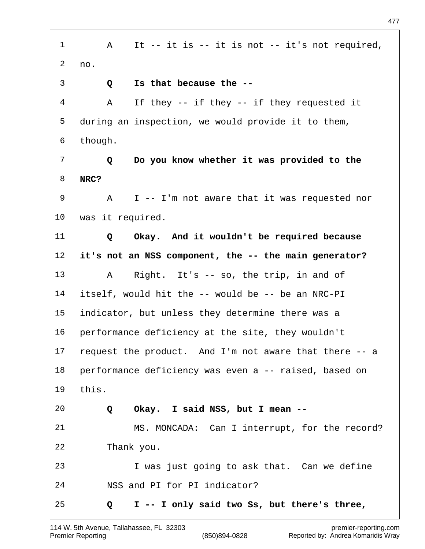1 A It -- it is -- it is not -- it's not required, no.  **Q Is that because the --** A If they -- if they -- if they requested it during an inspection, we would provide it to them, though.  **Q Do you know whether it was provided to the NRC?** A I -- I'm not aware that it was requested nor was it required.  **Q Okay. And it wouldn't be required because it's not an NSS component, the -- the main generator?** A Right. It's -- so, the trip, in and of itself, would hit the -- would be -- be an NRC-PI indicator, but unless they determine there was a performance deficiency at the site, they wouldn't request the product. And I'm not aware that there -- a performance deficiency was even a -- raised, based on this.  **Q Okay. I said NSS, but I mean --** MS. MONCADA: Can I interrupt, for the record? Thank you. I was just going to ask that. Can we define NSS and PI for PI indicator?  **Q I -- I only said two Ss, but there's three,**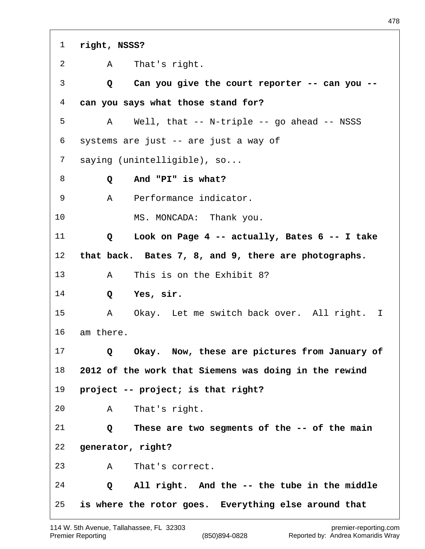**right, NSSS?** A That's right.  **Q Can you give the court reporter -- can you -- can you says what those stand for?** A Well, that -- N-triple -- go ahead -- NSSS systems are just -- are just a way of saying (unintelligible), so...  **Q And "PI" is what?** A Performance indicator. MS. MONCADA: Thank you.  **Q Look on Page 4 -- actually, Bates 6 -- I take that back. Bates 7, 8, and 9, there are photographs.** A This is on the Exhibit 8?  **Q Yes, sir.** A Okay. Let me switch back over. All right. I am there.  **Q Okay. Now, these are pictures from January of 2012 of the work that Siemens was doing in the rewind project -- project; is that right?** A That's right.  **Q These are two segments of the -- of the main generator, right?** A That's correct.  **Q All right. And the -- the tube in the middle is where the rotor goes. Everything else around that**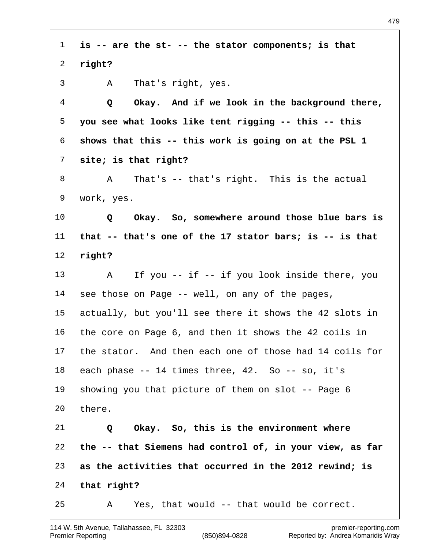| $\mathbf{1}$   | is -- are the st- -- the stator components; is that           |
|----------------|---------------------------------------------------------------|
| $\overline{a}$ | right?                                                        |
| 3              | That's right, yes.<br>A                                       |
| $\overline{4}$ | Okay. And if we look in the background there,<br>Q            |
| 5              | you see what looks like tent rigging -- this -- this          |
| 6              | shows that this -- this work is going on at the PSL 1         |
| 7              | site; is that right?                                          |
| 8              | That's -- that's right. This is the actual<br>A               |
| 9              | work, yes.                                                    |
| $10\,$         | Okay. So, somewhere around those blue bars is<br>Q            |
| 11             | that $-$ - that's one of the 17 stator bars; is $-$ - is that |
| 12             | right?                                                        |
| 13             | If you -- if -- if you look inside there, you<br>A            |
| 14             | see those on Page -- well, on any of the pages,               |
| 15             | actually, but you'll see there it shows the 42 slots in       |
| 16             | the core on Page 6, and then it shows the 42 coils in         |
| 17             | the stator. And then each one of those had 14 coils for       |
| 18             | each phase -- 14 times three, 42. So -- so, it's              |
| 19             | showing you that picture of them on slot -- Page 6            |
| 20             | there.                                                        |
| 21             | Okay. So, this is the environment where<br>Q                  |
| 22             | the -- that Siemens had control of, in your view, as far      |
| 23             | as the activities that occurred in the 2012 rewind; is        |
| 24             | that right?                                                   |
| 25             | Yes, that would -- that would be correct.<br>Α                |

 $\sqrt{ }$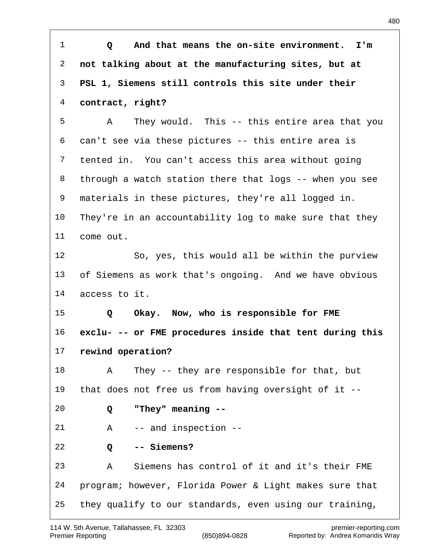**Q And that means the on-site environment. I'm not talking about at the manufacturing sites, but at PSL 1, Siemens still controls this site under their contract, right?** A They would. This -- this entire area that you can't see via these pictures -- this entire area is tented in. You can't access this area without going through a watch station there that logs -- when you see materials in these pictures, they're all logged in. They're in an accountability log to make sure that they come out. So, yes, this would all be within the purview of Siemens as work that's ongoing. And we have obvious access to it.  **Q Okay. Now, who is responsible for FME exclu- -- or FME procedures inside that tent during this rewind operation?** A They -- they are responsible for that, but that does not free us from having oversight of it --  **Q "They" meaning --** A -- and inspection --  **Q -- Siemens?** A Siemens has control of it and it's their FME program; however, Florida Power & Light makes sure that they qualify to our standards, even using our training,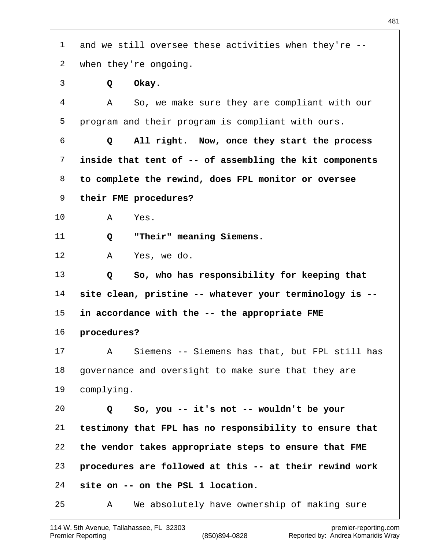| 1  | and we still oversee these activities when they're --   |
|----|---------------------------------------------------------|
| 2  | when they're ongoing.                                   |
| 3  | Okay.<br>Q                                              |
| 4  | So, we make sure they are compliant with our<br>Α       |
| 5  | program and their program is compliant with ours.       |
| 6  | All right. Now, once they start the process<br>Q        |
| 7  | inside that tent of -- of assembling the kit components |
| 8  | to complete the rewind, does FPL monitor or oversee     |
| 9  | their FME procedures?                                   |
| 10 | Yes.<br>A                                               |
| 11 | "Their" meaning Siemens.<br>Q                           |
| 12 | Yes, we do.<br>A                                        |
| 13 | So, who has responsibility for keeping that<br>Q        |
| 14 | site clean, pristine -- whatever your terminology is -- |
| 15 | in accordance with the -- the appropriate FME           |
| 16 | procedures?                                             |
| 17 | Siemens -- Siemens has that, but FPL still has<br>Α     |
| 18 | governance and oversight to make sure that they are     |
| 19 | complying.                                              |
| 20 | So, you -- it's not -- wouldn't be your<br>Q            |
| 21 | testimony that FPL has no responsibility to ensure that |
| 22 | the vendor takes appropriate steps to ensure that FME   |
| 23 | procedures are followed at this -- at their rewind work |
| 24 | site on -- on the PSL 1 location.                       |
| 25 | We absolutely have ownership of making sure<br>Α        |

 $\sqrt{ }$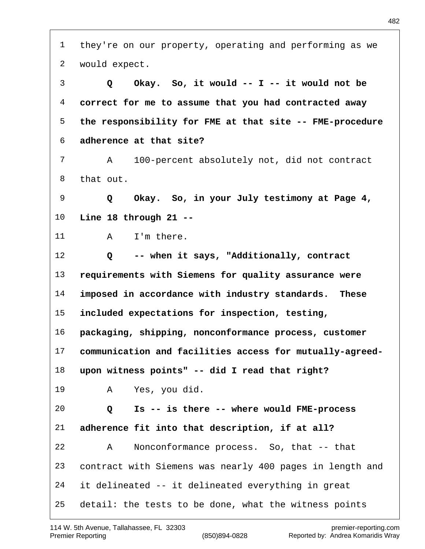they're on our property, operating and performing as we would expect.  **Q Okay. So, it would -- I -- it would not be correct for me to assume that you had contracted away the responsibility for FME at that site -- FME-procedure adherence at that site?** A 100-percent absolutely not, did not contract that out.  **Q Okay. So, in your July testimony at Page 4, Line 18 through 21 --** 11 A I'm there.  **Q -- when it says, "Additionally, contract requirements with Siemens for quality assurance were imposed in accordance with industry standards. These included expectations for inspection, testing, packaging, shipping, nonconformance process, customer communication and facilities access for mutually-agreed- upon witness points" -- did I read that right?** A Yes, you did.  **Q Is -- is there -- where would FME-process adherence fit into that description, if at all?** A Nonconformance process. So, that -- that contract with Siemens was nearly 400 pages in length and it delineated -- it delineated everything in great detail: the tests to be done, what the witness points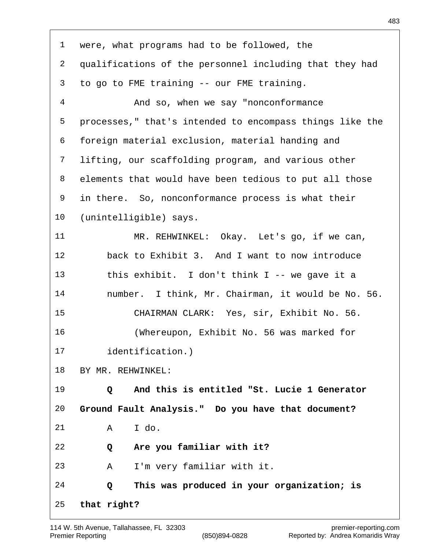| 1  | were, what programs had to be followed, the                   |
|----|---------------------------------------------------------------|
| 2  | qualifications of the personnel including that they had       |
| 3  | to go to FME training -- our FME training.                    |
| 4  | And so, when we say "nonconformance                           |
| 5  | processes," that's intended to encompass things like the      |
| 6  | foreign material exclusion, material handing and              |
| 7  | lifting, our scaffolding program, and various other           |
| 8  | elements that would have been tedious to put all those        |
| 9  | in there. So, nonconformance process is what their            |
| 10 | (unintelligible) says.                                        |
| 11 | MR. REHWINKEL: Okay. Let's go, if we can,                     |
| 12 | back to Exhibit 3. And I want to now introduce                |
| 13 | this exhibit. I don't think $I$ -- we gave it a               |
| 14 | number. I think, Mr. Chairman, it would be No. 56.            |
| 15 | CHAIRMAN CLARK: Yes, sir, Exhibit No. 56.                     |
| 16 | (Whereupon, Exhibit No. 56 was marked for                     |
| 17 | identification.)                                              |
| 18 | BY MR. REHWINKEL:                                             |
| 19 | And this is entitled "St. Lucie 1 Generator<br>$\overline{Q}$ |
| 20 | Ground Fault Analysis." Do you have that document?            |
| 21 | I do.<br>A                                                    |
| 22 | Are you familiar with it?<br>Q                                |
| 23 | I'm very familiar with it.<br>A                               |
| 24 | This was produced in your organization; is<br>Q               |
| 25 | that right?                                                   |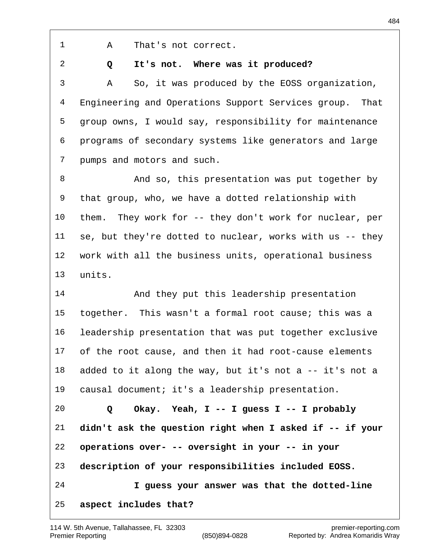A That's not correct.

 **Q It's not. Where was it produced?**

 A So, it was produced by the EOSS organization, Engineering and Operations Support Services group. That group owns, I would say, responsibility for maintenance programs of secondary systems like generators and large pumps and motors and such.

 And so, this presentation was put together by that group, who, we have a dotted relationship with them. They work for -- they don't work for nuclear, per se, but they're dotted to nuclear, works with us -- they work with all the business units, operational business units.

14 And they put this leadership presentation together. This wasn't a formal root cause; this was a leadership presentation that was put together exclusive of the root cause, and then it had root-cause elements added to it along the way, but it's not a -- it's not a causal document; it's a leadership presentation.

 **Q Okay. Yeah, I -- I guess I -- I probably didn't ask the question right when I asked if -- if your operations over- -- oversight in your -- in your description of your responsibilities included EOSS. I guess your answer was that the dotted-line aspect includes that?**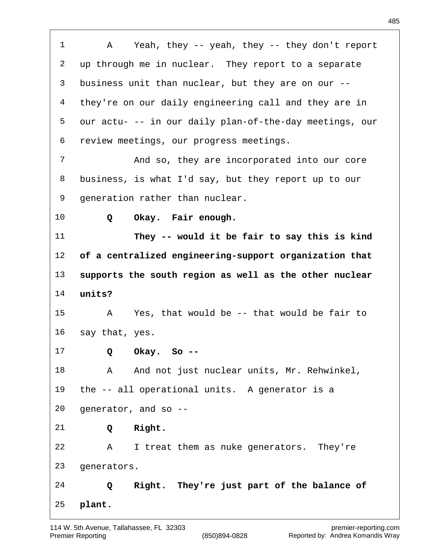A Yeah, they -- yeah, they -- they don't report up through me in nuclear. They report to a separate business unit than nuclear, but they are on our -- they're on our daily engineering call and they are in our actu- -- in our daily plan-of-the-day meetings, our review meetings, our progress meetings. And so, they are incorporated into our core business, is what I'd say, but they report up to our generation rather than nuclear.  **Q Okay. Fair enough. They -- would it be fair to say this is kind of a centralized engineering-support organization that supports the south region as well as the other nuclear units?** A Yes, that would be -- that would be fair to say that, yes.  **Q Okay. So --** 18 A And not just nuclear units, Mr. Rehwinkel, the -- all operational units. A generator is a generator, and so --  **Q Right.** A I treat them as nuke generators. They're generators.  **Q Right. They're just part of the balance of plant.**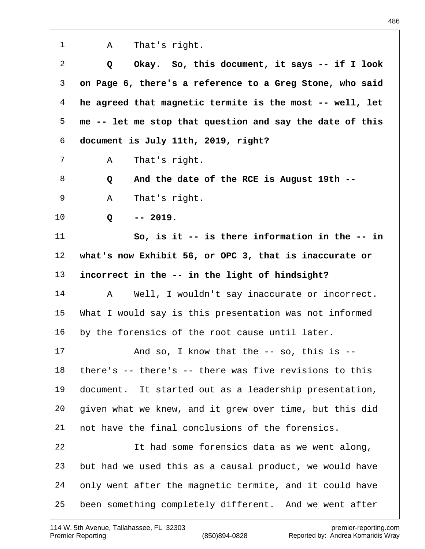A That's right.  **Q Okay. So, this document, it says -- if I look on Page 6, there's a reference to a Greg Stone, who said he agreed that magnetic termite is the most -- well, let me -- let me stop that question and say the date of this document is July 11th, 2019, right?** A That's right.  **Q And the date of the RCE is August 19th --** A That's right.  **Q -- 2019. So, is it -- is there information in the -- in what's now Exhibit 56, or OPC 3, that is inaccurate or incorrect in the -- in the light of hindsight?** A Well, I wouldn't say inaccurate or incorrect. What I would say is this presentation was not informed by the forensics of the root cause until later. And so, I know that the -- so, this is -- there's -- there's -- there was five revisions to this document. It started out as a leadership presentation, given what we knew, and it grew over time, but this did not have the final conclusions of the forensics. It had some forensics data as we went along, but had we used this as a causal product, we would have only went after the magnetic termite, and it could have been something completely different. And we went after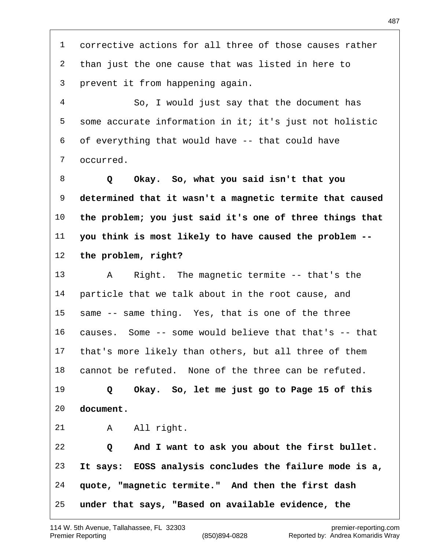corrective actions for all three of those causes rather than just the one cause that was listed in here to prevent it from happening again. So, I would just say that the document has some accurate information in it; it's just not holistic of everything that would have -- that could have occurred.  **Q Okay. So, what you said isn't that you determined that it wasn't a magnetic termite that caused the problem; you just said it's one of three things that you think is most likely to have caused the problem -- the problem, right?** A Right. The magnetic termite -- that's the particle that we talk about in the root cause, and same -- same thing. Yes, that is one of the three causes. Some -- some would believe that that's -- that that's more likely than others, but all three of them cannot be refuted. None of the three can be refuted.  **Q Okay. So, let me just go to Page 15 of this**

**document.**

21 A All right.

 **Q And I want to ask you about the first bullet. It says: EOSS analysis concludes the failure mode is a, quote, "magnetic termite." And then the first dash under that says, "Based on available evidence, the**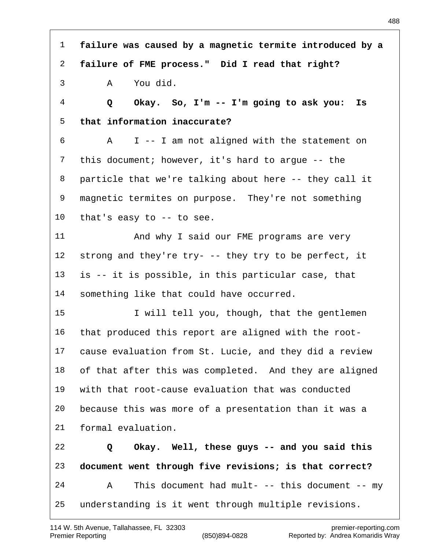**failure was caused by a magnetic termite introduced by a failure of FME process." Did I read that right?** A You did.  **Q Okay. So, I'm -- I'm going to ask you: Is that information inaccurate?** A I -- I am not aligned with the statement on this document; however, it's hard to argue -- the particle that we're talking about here -- they call it magnetic termites on purpose. They're not something that's easy to -- to see. 11 And why I said our FME programs are very strong and they're try- -- they try to be perfect, it is -- it is possible, in this particular case, that something like that could have occurred. I will tell you, though, that the gentlemen that produced this report are aligned with the root- cause evaluation from St. Lucie, and they did a review of that after this was completed. And they are aligned with that root-cause evaluation that was conducted because this was more of a presentation than it was a formal evaluation.  **Q Okay. Well, these guys -- and you said this document went through five revisions; is that correct?** A This document had mult- -- this document -- my understanding is it went through multiple revisions.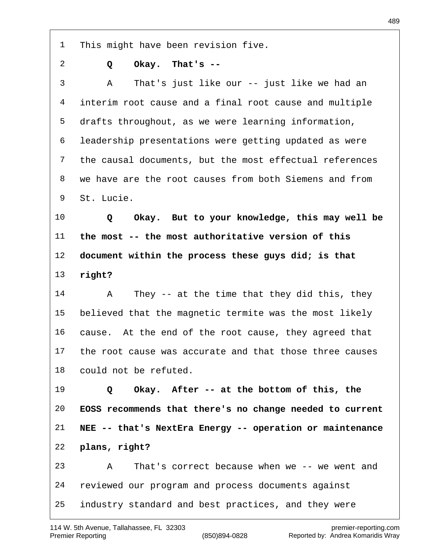This might have been revision five.

- 
- **Q Okay. That's --**

 A That's just like our -- just like we had an interim root cause and a final root cause and multiple drafts throughout, as we were learning information, leadership presentations were getting updated as were the causal documents, but the most effectual references we have are the root causes from both Siemens and from St. Lucie.

 **Q Okay. But to your knowledge, this may well be the most -- the most authoritative version of this document within the process these guys did; is that right?**

 A They -- at the time that they did this, they believed that the magnetic termite was the most likely cause. At the end of the root cause, they agreed that the root cause was accurate and that those three causes could not be refuted.

 **Q Okay. After -- at the bottom of this, the EOSS recommends that there's no change needed to current NEE -- that's NextEra Energy -- operation or maintenance plans, right?** A That's correct because when we -- we went and reviewed our program and process documents against

industry standard and best practices, and they were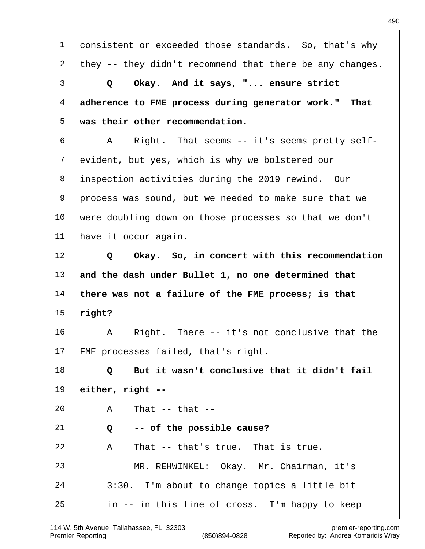consistent or exceeded those standards. So, that's why they -- they didn't recommend that there be any changes.  **Q Okay. And it says, "... ensure strict adherence to FME process during generator work." That was their other recommendation.** A Right. That seems -- it's seems pretty self- evident, but yes, which is why we bolstered our inspection activities during the 2019 rewind. Our process was sound, but we needed to make sure that we were doubling down on those processes so that we don't have it occur again.  **Q Okay. So, in concert with this recommendation and the dash under Bullet 1, no one determined that there was not a failure of the FME process; is that right?** A Right. There -- it's not conclusive that the FME processes failed, that's right.  **Q But it wasn't conclusive that it didn't fail either, right --** A That -- that --  **Q -- of the possible cause?** A That -- that's true. That is true. MR. REHWINKEL: Okay. Mr. Chairman, it's 3:30. I'm about to change topics a little bit in -- in this line of cross. I'm happy to keep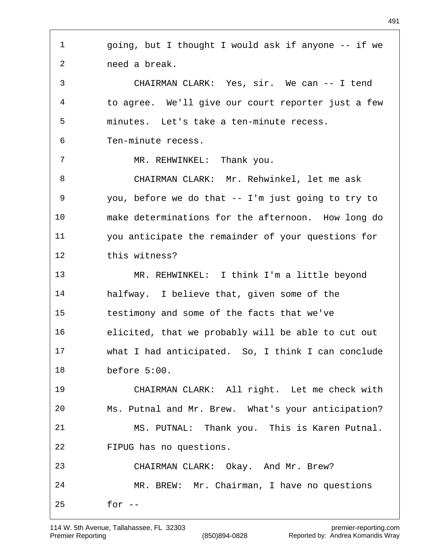going, but I thought I would ask if anyone -- if we need a break. CHAIRMAN CLARK: Yes, sir. We can -- I tend to agree. We'll give our court reporter just a few minutes. Let's take a ten-minute recess. Ten-minute recess. MR. REHWINKEL: Thank you. CHAIRMAN CLARK: Mr. Rehwinkel, let me ask you, before we do that -- I'm just going to try to make determinations for the afternoon. How long do you anticipate the remainder of your questions for this witness? MR. REHWINKEL: I think I'm a little beyond halfway. I believe that, given some of the testimony and some of the facts that we've elicited, that we probably will be able to cut out what I had anticipated. So, I think I can conclude before 5:00. CHAIRMAN CLARK: All right. Let me check with Ms. Putnal and Mr. Brew. What's your anticipation? MS. PUTNAL: Thank you. This is Karen Putnal. FIPUG has no questions. CHAIRMAN CLARK: Okay. And Mr. Brew? MR. BREW: Mr. Chairman, I have no questions for --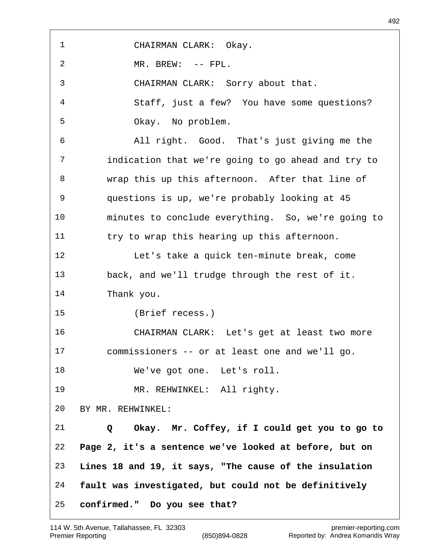CHAIRMAN CLARK: Okay. MR. BREW: -- FPL. CHAIRMAN CLARK: Sorry about that. Staff, just a few? You have some questions? Okay. No problem. All right. Good. That's just giving me the indication that we're going to go ahead and try to wrap this up this afternoon. After that line of questions is up, we're probably looking at 45 minutes to conclude everything. So, we're going to try to wrap this hearing up this afternoon. Let's take a quick ten-minute break, come back, and we'll trudge through the rest of it. Thank you. (Brief recess.) CHAIRMAN CLARK: Let's get at least two more commissioners -- or at least one and we'll go. We've got one. Let's roll. MR. REHWINKEL: All righty. BY MR. REHWINKEL:  **Q Okay. Mr. Coffey, if I could get you to go to Page 2, it's a sentence we've looked at before, but on Lines 18 and 19, it says, "The cause of the insulation fault was investigated, but could not be definitively confirmed." Do you see that?**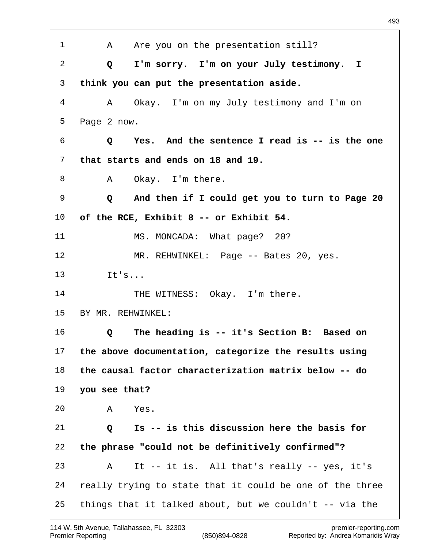1 A Are you on the presentation still?  **Q I'm sorry. I'm on your July testimony. I think you can put the presentation aside.** A Okay. I'm on my July testimony and I'm on Page 2 now.  **Q Yes. And the sentence I read is -- is the one that starts and ends on 18 and 19.** 8 A Okay. I'm there.  **Q And then if I could get you to turn to Page 20 of the RCE, Exhibit 8 -- or Exhibit 54.** 11 MS. MONCADA: What page? 20? MR. REHWINKEL: Page -- Bates 20, yes. It's... 14 THE WITNESS: Okay. I'm there. BY MR. REHWINKEL:  **Q The heading is -- it's Section B: Based on the above documentation, categorize the results using the causal factor characterization matrix below -- do you see that?** A Yes.  **Q Is -- is this discussion here the basis for the phrase "could not be definitively confirmed"?** A It -- it is. All that's really -- yes, it's really trying to state that it could be one of the three things that it talked about, but we couldn't -- via the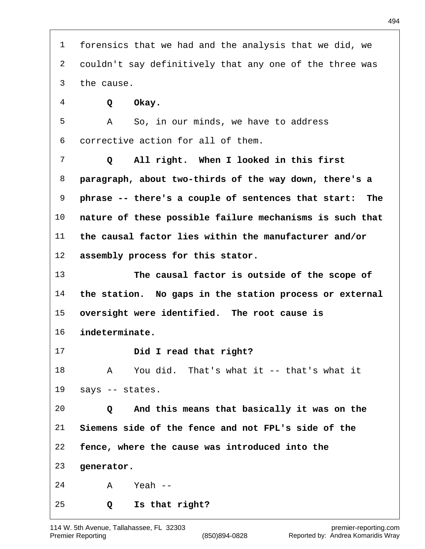| $\mathbf{1}$   | forensics that we had and the analysis that we did, we     |
|----------------|------------------------------------------------------------|
| $\overline{2}$ | couldn't say definitively that any one of the three was    |
| 3              | the cause.                                                 |
| 4              | Okay.<br>Q                                                 |
| 5              | So, in our minds, we have to address<br>A                  |
| 6              | corrective action for all of them.                         |
| 7              | All right. When I looked in this first<br>Q                |
| 8              | paragraph, about two-thirds of the way down, there's a     |
| 9              | phrase -- there's a couple of sentences that start:<br>The |
| 10             | nature of these possible failure mechanisms is such that   |
| 11             | the causal factor lies within the manufacturer and/or      |
| 12             | assembly process for this stator.                          |
| 13             | The causal factor is outside of the scope of               |
| 14             | the station. No gaps in the station process or external    |
| 15             | oversight were identified. The root cause is               |
| 16             | indeterminate.                                             |
| 17             | Did I read that right?                                     |
| 18             | You did. That's what it -- that's what it<br>A             |
| 19             | says -- states.                                            |
| 20             | And this means that basically it was on the<br>Q           |
| 21             | Siemens side of the fence and not FPL's side of the        |
| 22             | fence, where the cause was introduced into the             |
| 23             | generator.                                                 |
| 24             | Yeah $--$<br>A                                             |
| 25             | Is that right?<br>Q                                        |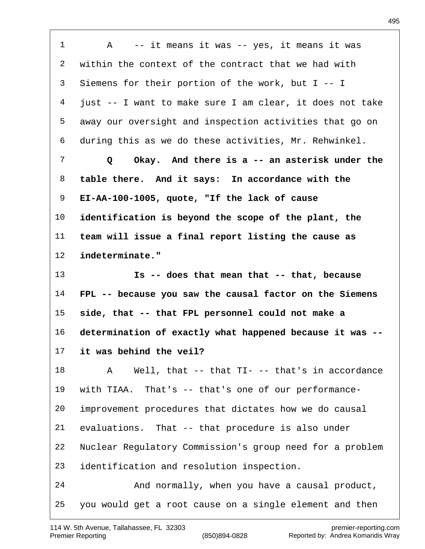A -- it means it was -- yes, it means it was within the context of the contract that we had with Siemens for their portion of the work, but I -- I just -- I want to make sure I am clear, it does not take away our oversight and inspection activities that go on during this as we do these activities, Mr. Rehwinkel.  **Q Okay. And there is a -- an asterisk under the table there. And it says: In accordance with the EI-AA-100-1005, quote, "If the lack of cause identification is beyond the scope of the plant, the team will issue a final report listing the cause as indeterminate." Is -- does that mean that -- that, because FPL -- because you saw the causal factor on the Siemens side, that -- that FPL personnel could not make a determination of exactly what happened because it was -- it was behind the veil?** A Well, that -- that TI- -- that's in accordance with TIAA. That's -- that's one of our performance- improvement procedures that dictates how we do causal evaluations. That -- that procedure is also under Nuclear Regulatory Commission's group need for a problem identification and resolution inspection. And normally, when you have a causal product, you would get a root cause on a single element and then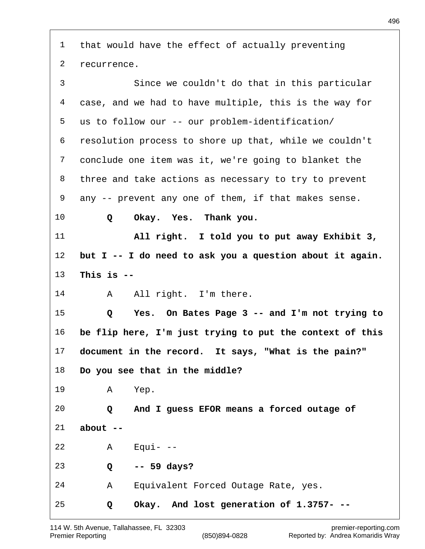| $\mathbf{1}$   | that would have the effect of actually preventing        |
|----------------|----------------------------------------------------------|
| 2              | recurrence.                                              |
| $\mathfrak{Z}$ | Since we couldn't do that in this particular             |
| $\overline{4}$ | case, and we had to have multiple, this is the way for   |
| 5              | us to follow our -- our problem-identification/          |
| 6              | resolution process to shore up that, while we couldn't   |
| 7              | conclude one item was it, we're going to blanket the     |
| 8              | three and take actions as necessary to try to prevent    |
| 9              | any -- prevent any one of them, if that makes sense.     |
| $10 \,$        | Okay. Yes. Thank you.<br>Q                               |
| 11             | All right. I told you to put away Exhibit 3,             |
| 12             | but I -- I do need to ask you a question about it again. |
| 13             | This is $-$                                              |
| 14             | All right. I'm there.<br>Α                               |
| 15             | Yes. On Bates Page 3 -- and I'm not trying to<br>Q       |
| 16             | be flip here, I'm just trying to put the context of this |
| 17             | document in the record. It says, "What is the pain?"     |
| 18             | Do you see that in the middle?                           |
| 19             | Yep.<br>$\mathsf{A}$                                     |
| 20             | Q And I guess EFOR means a forced outage of              |
| 21             | $about --$                                               |
| 22             | $A$ Equi--                                               |
| 23             | $-- 59 days?$<br>$Q \qquad \qquad$                       |
| 24             | Equivalent Forced Outage Rate, yes.<br>A                 |
| 25             | Okay. And lost generation of 1.3757- --<br>Q             |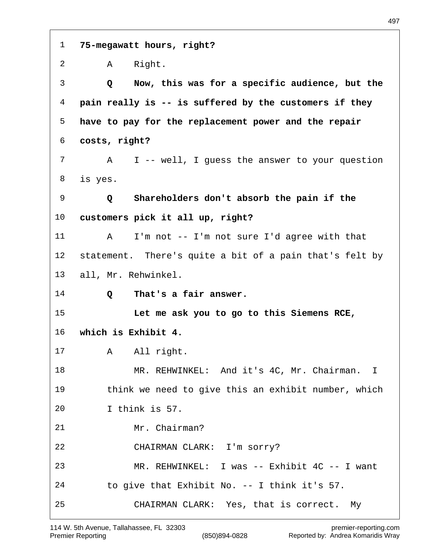| $\mathbf{1}$    | 75-megawatt hours, right?                               |
|-----------------|---------------------------------------------------------|
| 2               | Right.<br>$\mathsf A$                                   |
| 3               | Now, this was for a specific audience, but the<br>Q     |
| 4               | pain really is -- is suffered by the customers if they  |
| 5               | have to pay for the replacement power and the repair    |
| 6               | costs, right?                                           |
| 7               | I -- well, I guess the answer to your question<br>A     |
| 8               | is yes.                                                 |
| 9               | Shareholders don't absorb the pain if the<br>Q          |
| 10              | customers pick it all up, right?                        |
| 11              | I'm not -- I'm not sure I'd agree with that<br>A        |
| 12 <sub>1</sub> | statement. There's quite a bit of a pain that's felt by |
| 13              | all, Mr. Rehwinkel.                                     |
| 14              | That's a fair answer.<br>Q                              |
| 15              | Let me ask you to go to this Siemens RCE,               |
| 16              | which is Exhibit 4.                                     |
| 17              | A All right.                                            |
| 18              | MR. REHWINKEL: And it's 4C, Mr. Chairman. I             |
| 19              | think we need to give this an exhibit number, which     |
| 20              | I think is 57.                                          |
| 21              | Mr. Chairman?                                           |
| 22              | CHAIRMAN CLARK: I'm sorry?                              |
| 23              | MR. REHWINKEL: I was -- Exhibit 4C -- I want            |
| 24              | to give that Exhibit No. -- I think it's 57.            |
| 25              | CHAIRMAN CLARK: Yes, that is correct. My                |

 $\overline{1}$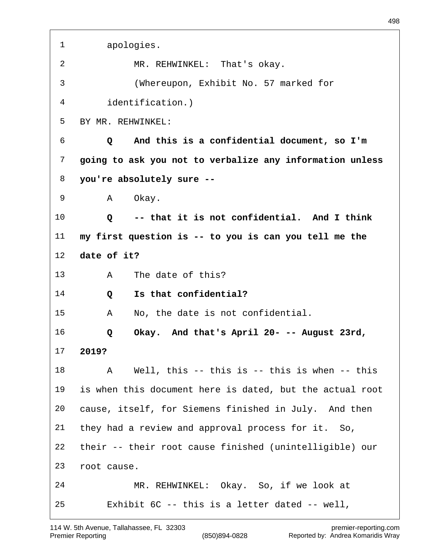| 1  | apologies.                                               |
|----|----------------------------------------------------------|
| 2  | MR. REHWINKEL: That's okay.                              |
| 3  | (Whereupon, Exhibit No. 57 marked for                    |
| 4  | identification.)                                         |
| 5  | BY MR. REHWINKEL:                                        |
| 6  | And this is a confidential document, so I'm<br>Q         |
| 7  | going to ask you not to verbalize any information unless |
| 8  | you're absolutely sure --                                |
| 9  | Okay.<br>A                                               |
| 10 | -- that it is not confidential. And I think<br>Q         |
| 11 | my first question is -- to you is can you tell me the    |
| 12 | date of it?                                              |
| 13 | The date of this?<br>A                                   |
| 14 | Is that confidential?<br>Q                               |
| 15 | No, the date is not confidential.<br>Α                   |
| 16 | Okay. And that's April 20- -- August 23rd,<br>Q          |
| 17 | 2019?                                                    |
| 18 | Well, this $--$ this is $--$ this is when $--$ this<br>A |
| 19 | is when this document here is dated, but the actual root |
| 20 | cause, itself, for Siemens finished in July. And then    |
| 21 | they had a review and approval process for it. So,       |
| 22 | their -- their root cause finished (unintelligible) our  |
| 23 | root cause.                                              |
| 24 | MR. REHWINKEL: Okay. So, if we look at                   |
| 25 | Exhibit $6C$ -- this is a letter dated -- well,          |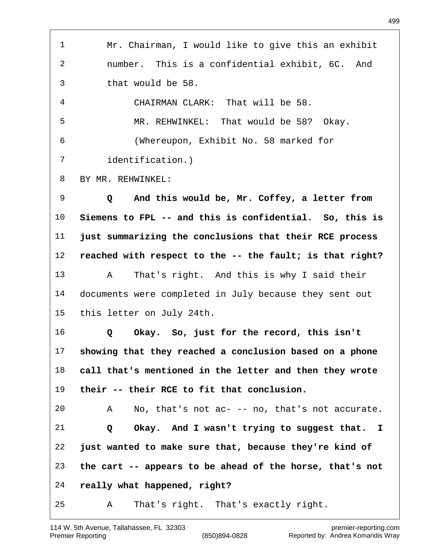Mr. Chairman, I would like to give this an exhibit number. This is a confidential exhibit, 6C. And that would be 58. CHAIRMAN CLARK: That will be 58. MR. REHWINKEL: That would be 58? Okay. (Whereupon, Exhibit No. 58 marked for identification.) BY MR. REHWINKEL:  **Q And this would be, Mr. Coffey, a letter from Siemens to FPL -- and this is confidential. So, this is just summarizing the conclusions that their RCE process reached with respect to the -- the fault; is that right?** A That's right. And this is why I said their documents were completed in July because they sent out this letter on July 24th.  **Q Okay. So, just for the record, this isn't showing that they reached a conclusion based on a phone call that's mentioned in the letter and then they wrote their -- their RCE to fit that conclusion.** A No, that's not ac- -- no, that's not accurate.  **Q Okay. And I wasn't trying to suggest that. I just wanted to make sure that, because they're kind of the cart -- appears to be ahead of the horse, that's not really what happened, right?** A That's right. That's exactly right.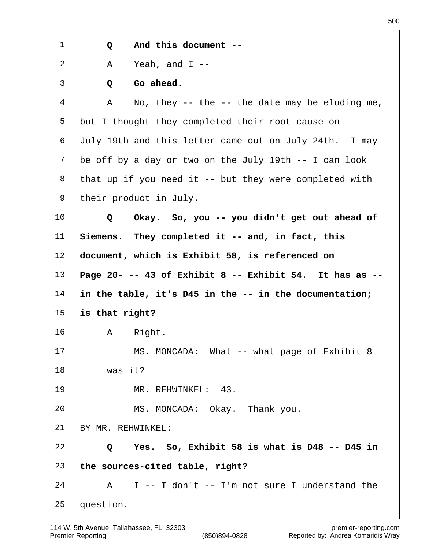**Q And this document --**

A Yeah, and I --

 **Q Go ahead.**

 A No, they -- the -- the date may be eluding me, but I thought they completed their root cause on July 19th and this letter came out on July 24th. I may be off by a day or two on the July 19th -- I can look that up if you need it -- but they were completed with their product in July.

 **Q Okay. So, you -- you didn't get out ahead of Siemens. They completed it -- and, in fact, this document, which is Exhibit 58, is referenced on Page 20- -- 43 of Exhibit 8 -- Exhibit 54. It has as -- in the table, it's D45 in the -- in the documentation;**

**is that right?**

A Right.

 MS. MONCADA: What -- what page of Exhibit 8 was it?

MR. REHWINKEL: 43.

MS. MONCADA: Okay. Thank you.

BY MR. REHWINKEL:

 **Q Yes. So, Exhibit 58 is what is D48 -- D45 in the sources-cited table, right?**

A I -- I don't -- I'm not sure I understand the

question.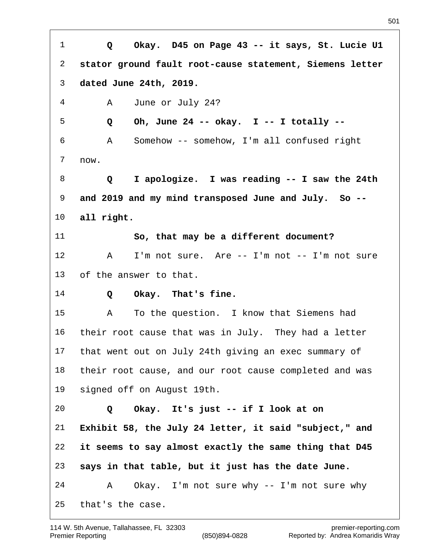**Q Okay. D45 on Page 43 -- it says, St. Lucie U1 stator ground fault root-cause statement, Siemens letter dated June 24th, 2019.** A June or July 24?  **Q Oh, June 24 -- okay. I -- I totally --** A Somehow -- somehow, I'm all confused right now.  **Q I apologize. I was reading -- I saw the 24th and 2019 and my mind transposed June and July. So -- all right. So, that may be a different document?** 12 A I'm not sure. Are -- I'm not -- I'm not sure of the answer to that.  **Q Okay. That's fine.** A To the question. I know that Siemens had their root cause that was in July. They had a letter that went out on July 24th giving an exec summary of their root cause, and our root cause completed and was signed off on August 19th.  **Q Okay. It's just -- if I look at on Exhibit 58, the July 24 letter, it said "subject," and it seems to say almost exactly the same thing that D45 says in that table, but it just has the date June.** A Okay. I'm not sure why -- I'm not sure why that's the case.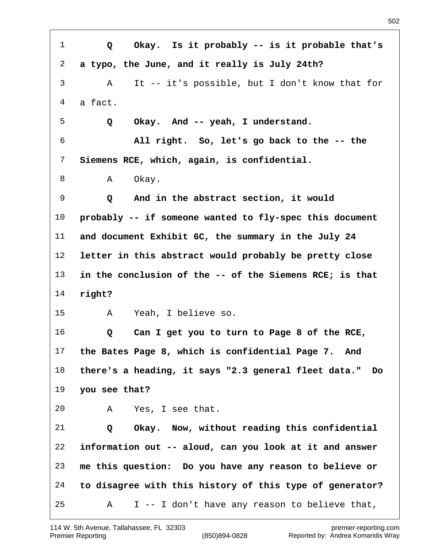**Q Okay. Is it probably -- is it probable that's a typo, the June, and it really is July 24th?** A It -- it's possible, but I don't know that for a fact.  **Q Okay. And -- yeah, I understand. All right. So, let's go back to the -- the Siemens RCE, which, again, is confidential.** 8 A Okay.  **Q And in the abstract section, it would probably -- if someone wanted to fly-spec this document and document Exhibit 6C, the summary in the July 24 letter in this abstract would probably be pretty close in the conclusion of the -- of the Siemens RCE; is that right?** A Yeah, I believe so.  **Q Can I get you to turn to Page 8 of the RCE, the Bates Page 8, which is confidential Page 7. And there's a heading, it says "2.3 general fleet data." Do you see that?** A Yes, I see that.  **Q Okay. Now, without reading this confidential information out -- aloud, can you look at it and answer me this question: Do you have any reason to believe or to disagree with this history of this type of generator?** A I -- I don't have any reason to believe that,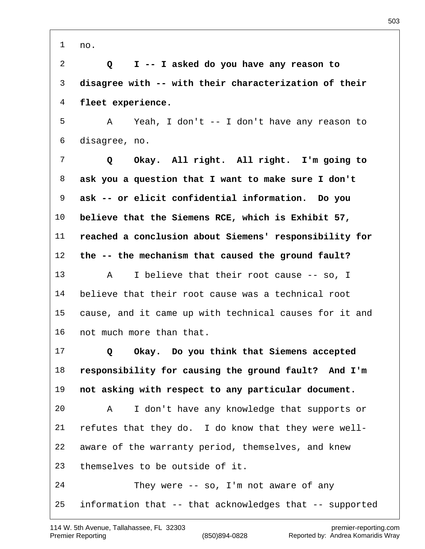no.

 **Q I -- I asked do you have any reason to disagree with -- with their characterization of their fleet experience.**

 A Yeah, I don't -- I don't have any reason to disagree, no.

 **Q Okay. All right. All right. I'm going to ask you a question that I want to make sure I don't ask -- or elicit confidential information. Do you believe that the Siemens RCE, which is Exhibit 57, reached a conclusion about Siemens' responsibility for the -- the mechanism that caused the ground fault?** A I believe that their root cause -- so, I believe that their root cause was a technical root cause, and it came up with technical causes for it and not much more than that.

 **Q Okay. Do you think that Siemens accepted responsibility for causing the ground fault? And I'm not asking with respect to any particular document.** A I don't have any knowledge that supports or refutes that they do. I do know that they were well- aware of the warranty period, themselves, and knew themselves to be outside of it.

 They were -- so, I'm not aware of any information that -- that acknowledges that -- supported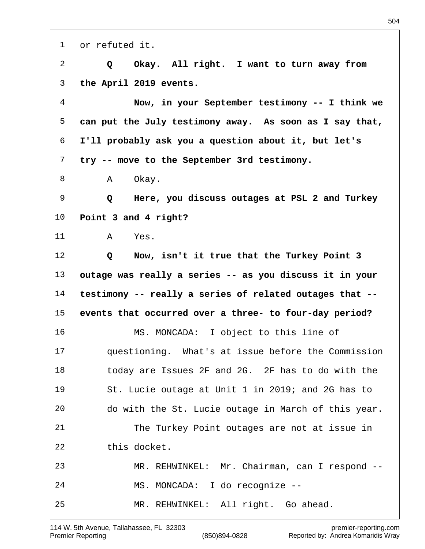or refuted it.  **Q Okay. All right. I want to turn away from the April 2019 events. Now, in your September testimony -- I think we can put the July testimony away. As soon as I say that, I'll probably ask you a question about it, but let's try -- move to the September 3rd testimony.** 8 A Okay.  **Q Here, you discuss outages at PSL 2 and Turkey Point 3 and 4 right?** A Yes.  **Q Now, isn't it true that the Turkey Point 3 outage was really a series -- as you discuss it in your testimony -- really a series of related outages that -- events that occurred over a three- to four-day period?** MS. MONCADA: I object to this line of questioning. What's at issue before the Commission today are Issues 2F and 2G. 2F has to do with the St. Lucie outage at Unit 1 in 2019; and 2G has to do with the St. Lucie outage in March of this year. The Turkey Point outages are not at issue in this docket. MR. REHWINKEL: Mr. Chairman, can I respond -- MS. MONCADA: I do recognize -- MR. REHWINKEL: All right. Go ahead.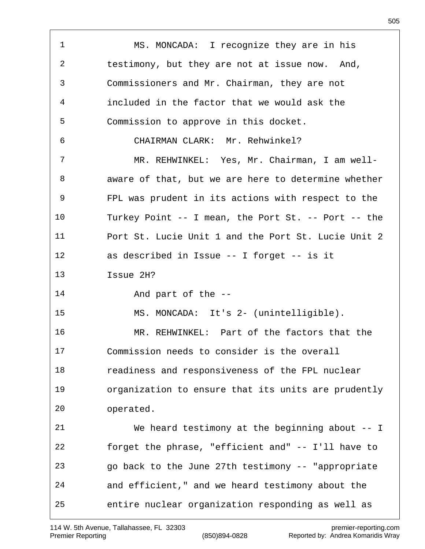1 MS. MONCADA: I recognize they are in his testimony, but they are not at issue now. And, Commissioners and Mr. Chairman, they are not included in the factor that we would ask the Commission to approve in this docket. CHAIRMAN CLARK: Mr. Rehwinkel? MR. REHWINKEL: Yes, Mr. Chairman, I am well- aware of that, but we are here to determine whether FPL was prudent in its actions with respect to the Turkey Point -- I mean, the Port St. -- Port -- the Port St. Lucie Unit 1 and the Port St. Lucie Unit 2 as described in Issue -- I forget -- is it Issue 2H? And part of the -- MS. MONCADA: It's 2- (unintelligible). MR. REHWINKEL: Part of the factors that the Commission needs to consider is the overall readiness and responsiveness of the FPL nuclear organization to ensure that its units are prudently operated. We heard testimony at the beginning about -- I forget the phrase, "efficient and" -- I'll have to go back to the June 27th testimony -- "appropriate and efficient," and we heard testimony about the entire nuclear organization responding as well as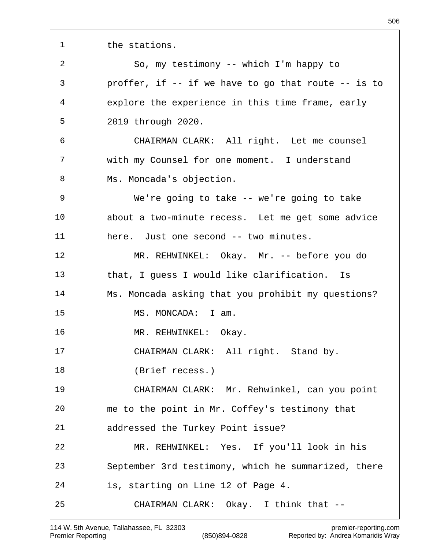the stations.

 So, my testimony -- which I'm happy to proffer, if -- if we have to go that route -- is to explore the experience in this time frame, early 2019 through 2020. CHAIRMAN CLARK: All right. Let me counsel with my Counsel for one moment. I understand 8 Ms. Moncada's objection. We're going to take -- we're going to take about a two-minute recess. Let me get some advice here. Just one second -- two minutes. MR. REHWINKEL: Okay. Mr. -- before you do that, I guess I would like clarification. Is Ms. Moncada asking that you prohibit my questions? MS. MONCADA: I am. MR. REHWINKEL: Okay. CHAIRMAN CLARK: All right. Stand by. (Brief recess.) CHAIRMAN CLARK: Mr. Rehwinkel, can you point me to the point in Mr. Coffey's testimony that addressed the Turkey Point issue? MR. REHWINKEL: Yes. If you'll look in his September 3rd testimony, which he summarized, there is, starting on Line 12 of Page 4. CHAIRMAN CLARK: Okay. I think that --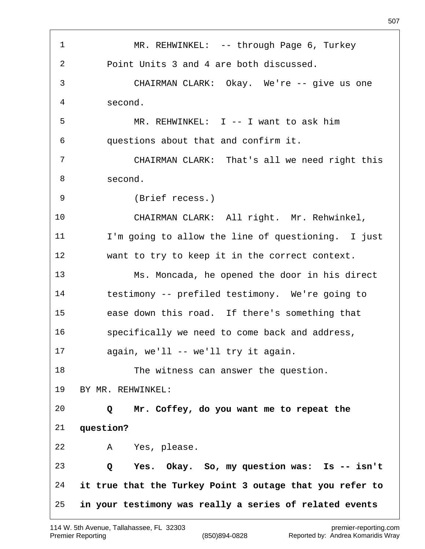1 MR. REHWINKEL: -- through Page 6, Turkey Point Units 3 and 4 are both discussed. CHAIRMAN CLARK: Okay. We're -- give us one second. MR. REHWINKEL: I -- I want to ask him questions about that and confirm it. CHAIRMAN CLARK: That's all we need right this second. (Brief recess.) CHAIRMAN CLARK: All right. Mr. Rehwinkel, I'm going to allow the line of questioning. I just want to try to keep it in the correct context. Ms. Moncada, he opened the door in his direct testimony -- prefiled testimony. We're going to ease down this road. If there's something that specifically we need to come back and address, again, we'll -- we'll try it again. 18 The witness can answer the question. BY MR. REHWINKEL:  **Q Mr. Coffey, do you want me to repeat the question?** A Yes, please.  **Q Yes. Okay. So, my question was: Is -- isn't it true that the Turkey Point 3 outage that you refer to in your testimony was really a series of related events**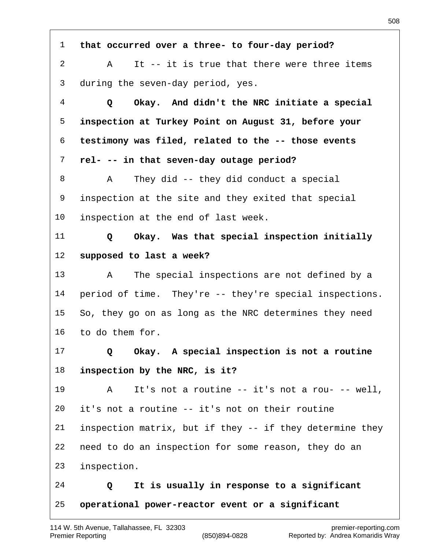**that occurred over a three- to four-day period?** A It -- it is true that there were three items during the seven-day period, yes.  **Q Okay. And didn't the NRC initiate a special inspection at Turkey Point on August 31, before your testimony was filed, related to the -- those events rel- -- in that seven-day outage period?** A They did -- they did conduct a special inspection at the site and they exited that special inspection at the end of last week.  **Q Okay. Was that special inspection initially supposed to last a week?** A The special inspections are not defined by a period of time. They're -- they're special inspections. So, they go on as long as the NRC determines they need to do them for.  **Q Okay. A special inspection is not a routine inspection by the NRC, is it?** A It's not a routine -- it's not a rou- -- well, it's not a routine -- it's not on their routine inspection matrix, but if they -- if they determine they need to do an inspection for some reason, they do an inspection.  **Q It is usually in response to a significant operational power-reactor event or a significant**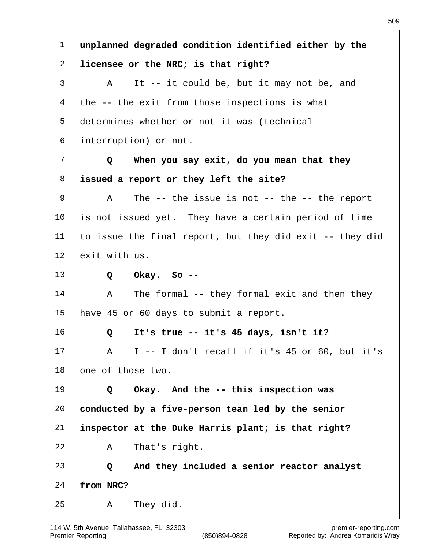**unplanned degraded condition identified either by the licensee or the NRC; is that right?** A It -- it could be, but it may not be, and the -- the exit from those inspections is what determines whether or not it was (technical interruption) or not.  **Q When you say exit, do you mean that they issued a report or they left the site?** A The -- the issue is not -- the -- the report is not issued yet. They have a certain period of time to issue the final report, but they did exit -- they did exit with us.  **Q Okay. So --** A The formal -- they formal exit and then they have 45 or 60 days to submit a report.  **Q It's true -- it's 45 days, isn't it?** A I -- I don't recall if it's 45 or 60, but it's one of those two.  **Q Okay. And the -- this inspection was conducted by a five-person team led by the senior inspector at the Duke Harris plant; is that right?** A That's right.  **Q And they included a senior reactor analyst from NRC?** A They did.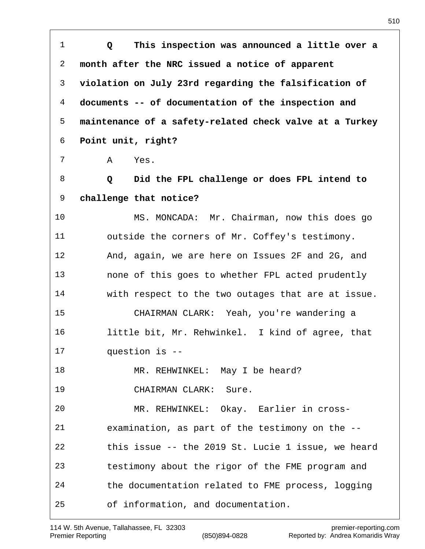**Q This inspection was announced a little over a month after the NRC issued a notice of apparent violation on July 23rd regarding the falsification of documents -- of documentation of the inspection and maintenance of a safety-related check valve at a Turkey Point unit, right?** A Yes.  **Q Did the FPL challenge or does FPL intend to challenge that notice?** MS. MONCADA: Mr. Chairman, now this does go outside the corners of Mr. Coffey's testimony. And, again, we are here on Issues 2F and 2G, and none of this goes to whether FPL acted prudently with respect to the two outages that are at issue. CHAIRMAN CLARK: Yeah, you're wandering a little bit, Mr. Rehwinkel. I kind of agree, that question is -- 18 MR. REHWINKEL: May I be heard? CHAIRMAN CLARK: Sure. MR. REHWINKEL: Okay. Earlier in cross- examination, as part of the testimony on the -- this issue -- the 2019 St. Lucie 1 issue, we heard testimony about the rigor of the FME program and the documentation related to FME process, logging of information, and documentation.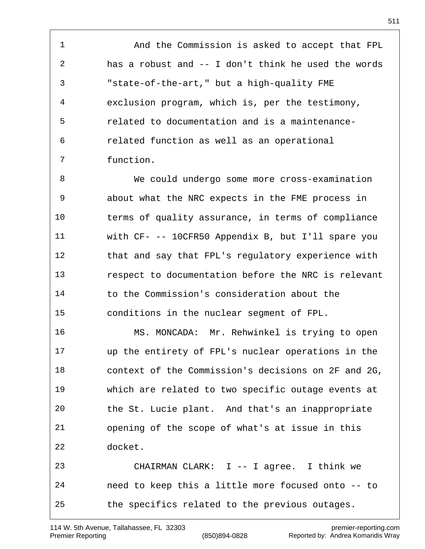And the Commission is asked to accept that FPL has a robust and -- I don't think he used the words "state-of-the-art," but a high-quality FME exclusion program, which is, per the testimony, related to documentation and is a maintenance- related function as well as an operational function.

 We could undergo some more cross-examination about what the NRC expects in the FME process in terms of quality assurance, in terms of compliance with CF- -- 10CFR50 Appendix B, but I'll spare you that and say that FPL's regulatory experience with respect to documentation before the NRC is relevant to the Commission's consideration about the conditions in the nuclear segment of FPL.

 MS. MONCADA: Mr. Rehwinkel is trying to open up the entirety of FPL's nuclear operations in the context of the Commission's decisions on 2F and 2G, which are related to two specific outage events at the St. Lucie plant. And that's an inappropriate opening of the scope of what's at issue in this docket. CHAIRMAN CLARK: I -- I agree. I think we need to keep this a little more focused onto -- to

the specifics related to the previous outages.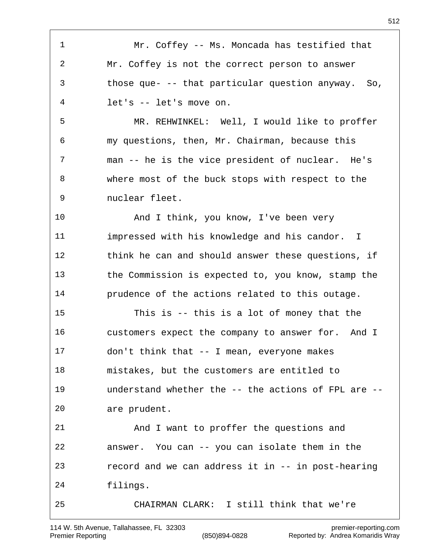Mr. Coffey -- Ms. Moncada has testified that Mr. Coffey is not the correct person to answer those que- -- that particular question anyway. So, let's -- let's move on. MR. REHWINKEL: Well, I would like to proffer my questions, then, Mr. Chairman, because this man -- he is the vice president of nuclear. He's where most of the buck stops with respect to the nuclear fleet. And I think, you know, I've been very impressed with his knowledge and his candor. I think he can and should answer these questions, if the Commission is expected to, you know, stamp the prudence of the actions related to this outage. This is -- this is a lot of money that the customers expect the company to answer for. And I don't think that -- I mean, everyone makes mistakes, but the customers are entitled to understand whether the -- the actions of FPL are -- are prudent. And I want to proffer the questions and answer. You can -- you can isolate them in the record and we can address it in -- in post-hearing filings. CHAIRMAN CLARK: I still think that we're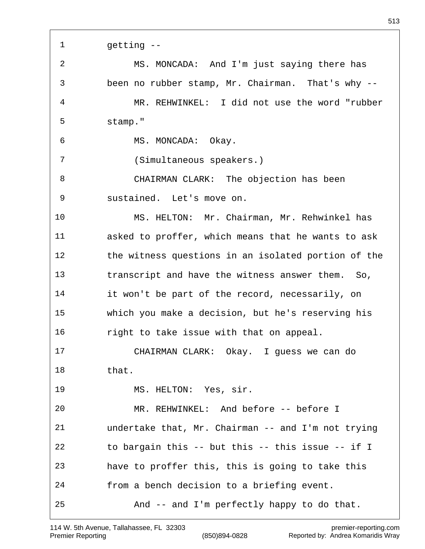| $\mathbf{1}$ | getting --                                          |
|--------------|-----------------------------------------------------|
| 2            | MS. MONCADA: And I'm just saying there has          |
| 3            | been no rubber stamp, Mr. Chairman. That's why --   |
| 4            | MR. REHWINKEL: I did not use the word "rubber       |
| 5            | stamp."                                             |
| 6            | MS. MONCADA: Okay.                                  |
| 7            | (Simultaneous speakers.)                            |
| 8            | CHAIRMAN CLARK: The objection has been              |
| 9            | sustained. Let's move on.                           |
| 10           | MS. HELTON: Mr. Chairman, Mr. Rehwinkel has         |
| 11           | asked to proffer, which means that he wants to ask  |
| 12           | the witness questions in an isolated portion of the |
| 13           | transcript and have the witness answer them. So,    |
| 14           | it won't be part of the record, necessarily, on     |
| 15           | which you make a decision, but he's reserving his   |
| 16           | right to take issue with that on appeal.            |
| 17           | CHAIRMAN CLARK: Okay. I guess we can do             |
| 18           | that.                                               |
| 19           | MS. HELTON: Yes, sir.                               |
| 20           | MR. REHWINKEL: And before -- before I               |
| 21           | undertake that, Mr. Chairman -- and I'm not trying  |
| 22           | to bargain this -- but this -- this issue -- if I   |
| 23           | have to proffer this, this is going to take this    |
| 24           | from a bench decision to a briefing event.          |
| 25           | And -- and I'm perfectly happy to do that.          |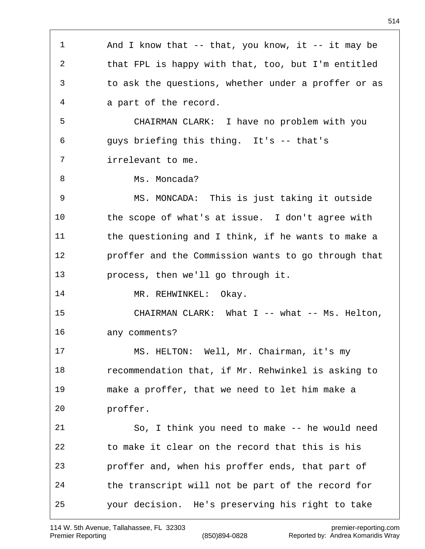1 And I know that -- that, you know, it -- it may be that FPL is happy with that, too, but I'm entitled to ask the questions, whether under a proffer or as a part of the record. CHAIRMAN CLARK: I have no problem with you guys briefing this thing. It's -- that's irrelevant to me. 8 Ms. Moncada? MS. MONCADA: This is just taking it outside the scope of what's at issue. I don't agree with 11 the questioning and I think, if he wants to make a proffer and the Commission wants to go through that process, then we'll go through it. 14 MR. REHWINKEL: Okay. 15 CHAIRMAN CLARK: What I -- what -- Ms. Helton, any comments? MS. HELTON: Well, Mr. Chairman, it's my recommendation that, if Mr. Rehwinkel is asking to make a proffer, that we need to let him make a proffer. So, I think you need to make -- he would need to make it clear on the record that this is his proffer and, when his proffer ends, that part of the transcript will not be part of the record for your decision. He's preserving his right to take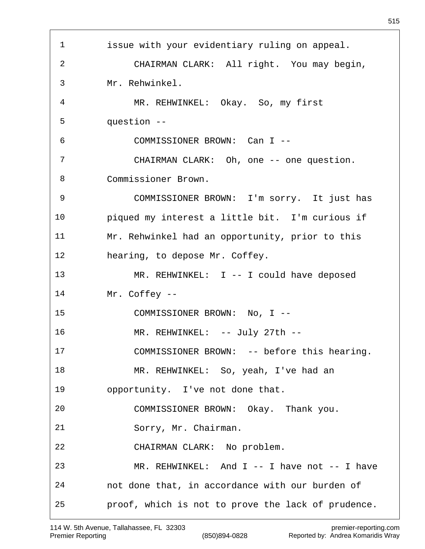issue with your evidentiary ruling on appeal. CHAIRMAN CLARK: All right. You may begin, Mr. Rehwinkel. MR. REHWINKEL: Okay. So, my first question -- COMMISSIONER BROWN: Can I -- CHAIRMAN CLARK: Oh, one -- one question. Commissioner Brown. COMMISSIONER BROWN: I'm sorry. It just has piqued my interest a little bit. I'm curious if Mr. Rehwinkel had an opportunity, prior to this hearing, to depose Mr. Coffey. MR. REHWINKEL: I -- I could have deposed Mr. Coffey -- COMMISSIONER BROWN: No, I -- 16 MR. REHWINKEL: -- July 27th -- COMMISSIONER BROWN: -- before this hearing. MR. REHWINKEL: So, yeah, I've had an opportunity. I've not done that. COMMISSIONER BROWN: Okay. Thank you. Sorry, Mr. Chairman. CHAIRMAN CLARK: No problem. MR. REHWINKEL: And I -- I have not -- I have not done that, in accordance with our burden of proof, which is not to prove the lack of prudence.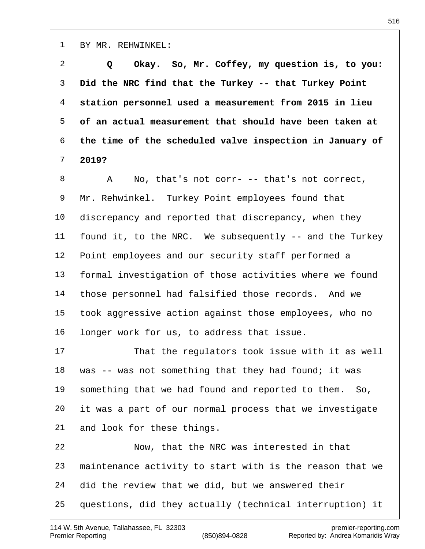BY MR. REHWINKEL:

 **Q Okay. So, Mr. Coffey, my question is, to you: Did the NRC find that the Turkey -- that Turkey Point station personnel used a measurement from 2015 in lieu of an actual measurement that should have been taken at the time of the scheduled valve inspection in January of 2019?**

 A No, that's not corr- -- that's not correct, Mr. Rehwinkel. Turkey Point employees found that discrepancy and reported that discrepancy, when they found it, to the NRC. We subsequently -- and the Turkey Point employees and our security staff performed a formal investigation of those activities where we found those personnel had falsified those records. And we took aggressive action against those employees, who no longer work for us, to address that issue.

 That the regulators took issue with it as well 18 was -- was not something that they had found; it was something that we had found and reported to them. So, it was a part of our normal process that we investigate and look for these things.

 Now, that the NRC was interested in that maintenance activity to start with is the reason that we did the review that we did, but we answered their questions, did they actually (technical interruption) it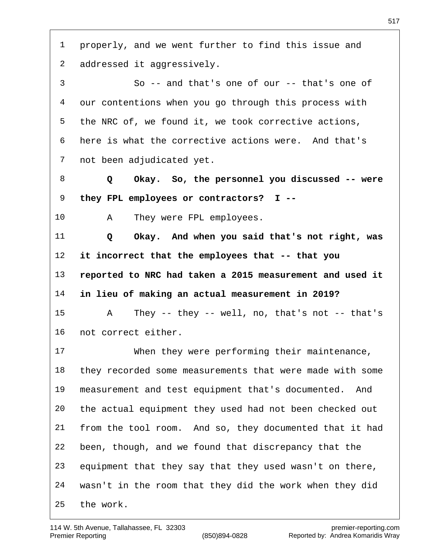properly, and we went further to find this issue and addressed it aggressively. So -- and that's one of our -- that's one of our contentions when you go through this process with the NRC of, we found it, we took corrective actions, here is what the corrective actions were. And that's not been adjudicated yet.  **Q Okay. So, the personnel you discussed -- were they FPL employees or contractors? I --** A They were FPL employees.  **Q Okay. And when you said that's not right, was it incorrect that the employees that -- that you reported to NRC had taken a 2015 measurement and used it in lieu of making an actual measurement in 2019?** A They -- they -- well, no, that's not -- that's not correct either. When they were performing their maintenance, they recorded some measurements that were made with some measurement and test equipment that's documented. And the actual equipment they used had not been checked out from the tool room. And so, they documented that it had been, though, and we found that discrepancy that the equipment that they say that they used wasn't on there, wasn't in the room that they did the work when they did the work.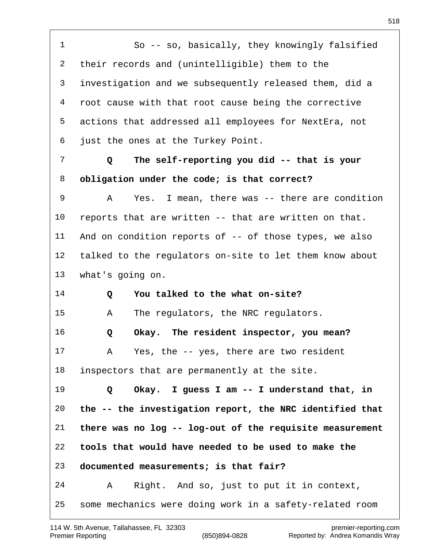So -- so, basically, they knowingly falsified their records and (unintelligible) them to the investigation and we subsequently released them, did a root cause with that root cause being the corrective actions that addressed all employees for NextEra, not just the ones at the Turkey Point.  **Q The self-reporting you did -- that is your obligation under the code; is that correct?** A Yes. I mean, there was -- there are condition reports that are written -- that are written on that. And on condition reports of -- of those types, we also talked to the regulators on-site to let them know about what's going on.  **Q You talked to the what on-site?** A The regulators, the NRC regulators.  **Q Okay. The resident inspector, you mean?** A Yes, the -- yes, there are two resident inspectors that are permanently at the site.  **Q Okay. I guess I am -- I understand that, in the -- the investigation report, the NRC identified that there was no log -- log-out of the requisite measurement tools that would have needed to be used to make the documented measurements; is that fair?** A Right. And so, just to put it in context, some mechanics were doing work in a safety-related room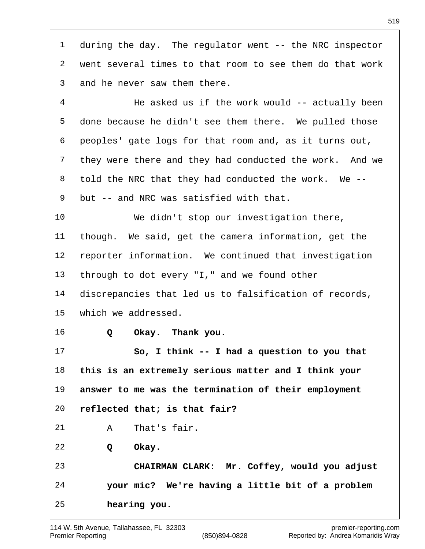during the day. The regulator went -- the NRC inspector went several times to that room to see them do that work and he never saw them there.

4 He asked us if the work would -- actually been done because he didn't see them there. We pulled those peoples' gate logs for that room and, as it turns out, they were there and they had conducted the work. And we told the NRC that they had conducted the work. We -- but -- and NRC was satisfied with that. We didn't stop our investigation there,

 though. We said, get the camera information, get the reporter information. We continued that investigation through to dot every "I," and we found other

 discrepancies that led us to falsification of records, which we addressed.

 **Q Okay. Thank you.**

 **So, I think -- I had a question to you that this is an extremely serious matter and I think your answer to me was the termination of their employment reflected that; is that fair?**

A That's fair.

 **Q Okay.**

 **CHAIRMAN CLARK: Mr. Coffey, would you adjust your mic? We're having a little bit of a problem hearing you.**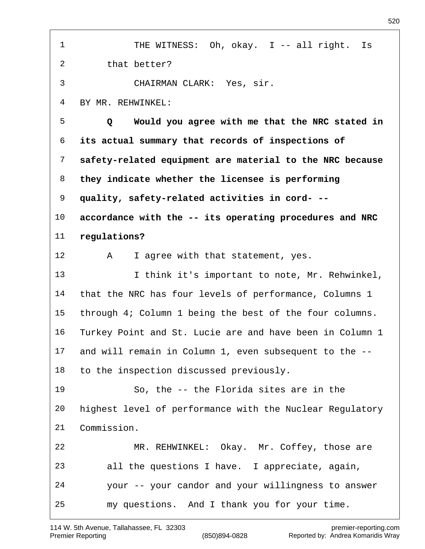1 THE WITNESS: Oh, okay. I -- all right. Is that better? CHAIRMAN CLARK: Yes, sir. BY MR. REHWINKEL:  **Q Would you agree with me that the NRC stated in its actual summary that records of inspections of safety-related equipment are material to the NRC because they indicate whether the licensee is performing quality, safety-related activities in cord- -- accordance with the -- its operating procedures and NRC regulations?** 12 A I agree with that statement, yes. I think it's important to note, Mr. Rehwinkel, that the NRC has four levels of performance, Columns 1 through 4; Column 1 being the best of the four columns. Turkey Point and St. Lucie are and have been in Column 1 and will remain in Column 1, even subsequent to the -- to the inspection discussed previously. So, the -- the Florida sites are in the highest level of performance with the Nuclear Regulatory Commission. MR. REHWINKEL: Okay. Mr. Coffey, those are all the questions I have. I appreciate, again, your -- your candor and your willingness to answer my questions. And I thank you for your time.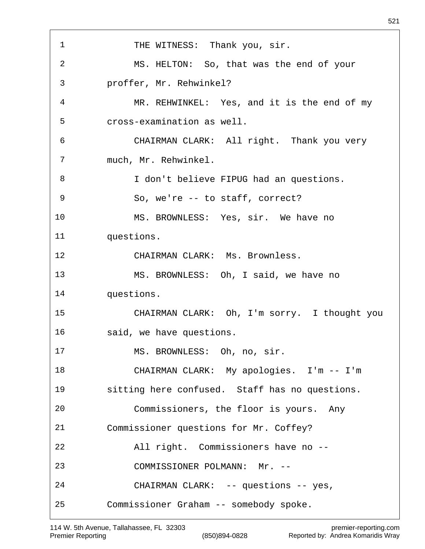1 THE WITNESS: Thank you, sir. MS. HELTON: So, that was the end of your proffer, Mr. Rehwinkel? MR. REHWINKEL: Yes, and it is the end of my cross-examination as well. CHAIRMAN CLARK: All right. Thank you very much, Mr. Rehwinkel. I don't believe FIPUG had an questions. So, we're -- to staff, correct? MS. BROWNLESS: Yes, sir. We have no questions. CHAIRMAN CLARK: Ms. Brownless. MS. BROWNLESS: Oh, I said, we have no questions. CHAIRMAN CLARK: Oh, I'm sorry. I thought you said, we have questions. MS. BROWNLESS: Oh, no, sir. CHAIRMAN CLARK: My apologies. I'm -- I'm sitting here confused. Staff has no questions. Commissioners, the floor is yours. Any Commissioner questions for Mr. Coffey? All right. Commissioners have no -- COMMISSIONER POLMANN: Mr. -- CHAIRMAN CLARK: -- questions -- yes, Commissioner Graham -- somebody spoke.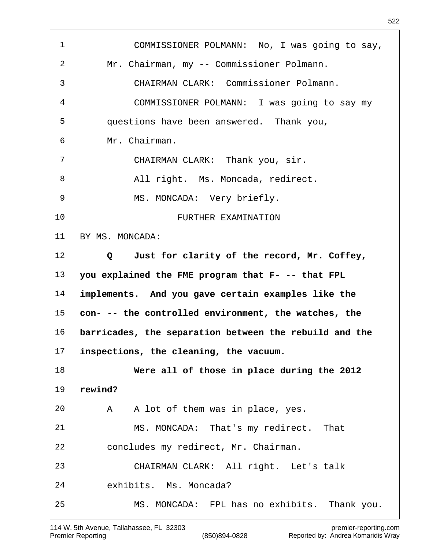COMMISSIONER POLMANN: No, I was going to say, Mr. Chairman, my -- Commissioner Polmann. CHAIRMAN CLARK: Commissioner Polmann. COMMISSIONER POLMANN: I was going to say my questions have been answered. Thank you, Mr. Chairman. CHAIRMAN CLARK: Thank you, sir. 8 All right. Ms. Moncada, redirect. MS. MONCADA: Very briefly. FURTHER EXAMINATION BY MS. MONCADA:  **Q Just for clarity of the record, Mr. Coffey, you explained the FME program that F- -- that FPL implements. And you gave certain examples like the con- -- the controlled environment, the watches, the barricades, the separation between the rebuild and the inspections, the cleaning, the vacuum. Were all of those in place during the 2012 rewind?** A A lot of them was in place, yes. MS. MONCADA: That's my redirect. That concludes my redirect, Mr. Chairman. CHAIRMAN CLARK: All right. Let's talk exhibits. Ms. Moncada? MS. MONCADA: FPL has no exhibits. Thank you.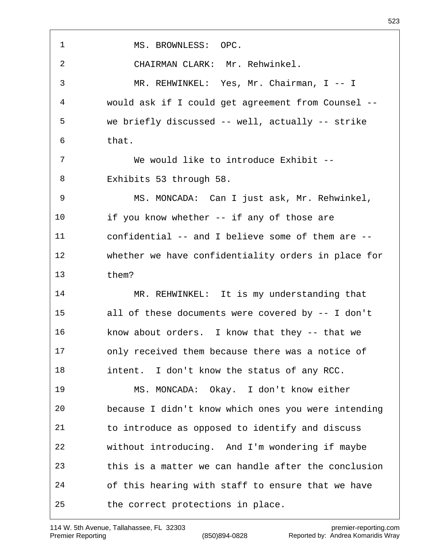MS. BROWNLESS: OPC. CHAIRMAN CLARK: Mr. Rehwinkel. MR. REHWINKEL: Yes, Mr. Chairman, I -- I would ask if I could get agreement from Counsel -- we briefly discussed -- well, actually -- strike that. We would like to introduce Exhibit -- Exhibits 53 through 58. MS. MONCADA: Can I just ask, Mr. Rehwinkel, if you know whether -- if any of those are confidential -- and I believe some of them are -- whether we have confidentiality orders in place for them? 14 MR. REHWINKEL: It is my understanding that all of these documents were covered by -- I don't know about orders. I know that they -- that we only received them because there was a notice of 18 intent. I don't know the status of any RCC. MS. MONCADA: Okay. I don't know either because I didn't know which ones you were intending to introduce as opposed to identify and discuss without introducing. And I'm wondering if maybe this is a matter we can handle after the conclusion of this hearing with staff to ensure that we have the correct protections in place.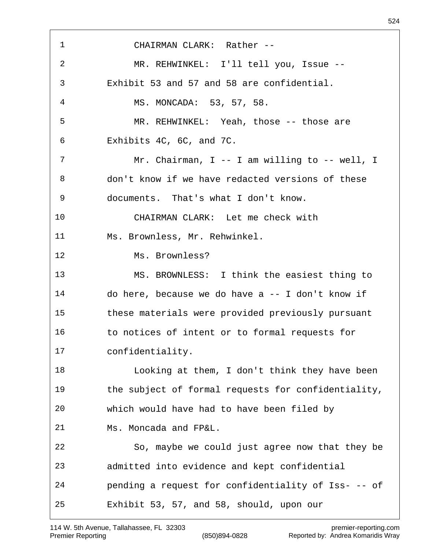CHAIRMAN CLARK: Rather -- MR. REHWINKEL: I'll tell you, Issue -- Exhibit 53 and 57 and 58 are confidential. MS. MONCADA: 53, 57, 58. MR. REHWINKEL: Yeah, those -- those are Exhibits 4C, 6C, and 7C. Mr. Chairman, I -- I am willing to -- well, I don't know if we have redacted versions of these documents. That's what I don't know. CHAIRMAN CLARK: Let me check with Ms. Brownless, Mr. Rehwinkel. Ms. Brownless? MS. BROWNLESS: I think the easiest thing to do here, because we do have a -- I don't know if these materials were provided previously pursuant to notices of intent or to formal requests for confidentiality. Looking at them, I don't think they have been the subject of formal requests for confidentiality, which would have had to have been filed by Ms. Moncada and FP&L. So, maybe we could just agree now that they be admitted into evidence and kept confidential pending a request for confidentiality of Iss- -- of Exhibit 53, 57, and 58, should, upon our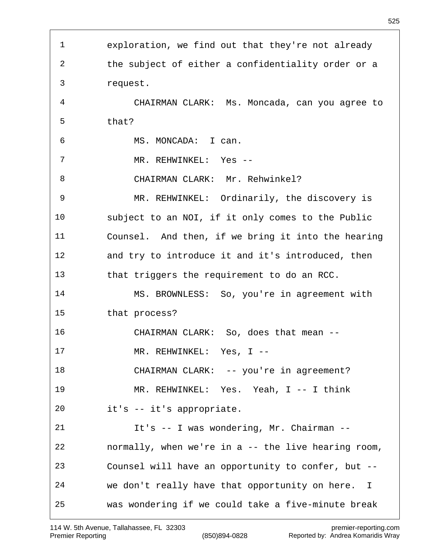exploration, we find out that they're not already the subject of either a confidentiality order or a request. CHAIRMAN CLARK: Ms. Moncada, can you agree to that? MS. MONCADA: I can. 7 MR. REHWINKEL: Yes -- CHAIRMAN CLARK: Mr. Rehwinkel? MR. REHWINKEL: Ordinarily, the discovery is subject to an NOI, if it only comes to the Public Counsel. And then, if we bring it into the hearing and try to introduce it and it's introduced, then that triggers the requirement to do an RCC. MS. BROWNLESS: So, you're in agreement with that process? CHAIRMAN CLARK: So, does that mean -- 17 MR. REHWINKEL: Yes, I --18 CHAIRMAN CLARK: -- you're in agreement? MR. REHWINKEL: Yes. Yeah, I -- I think it's -- it's appropriate. It's -- I was wondering, Mr. Chairman -- normally, when we're in a -- the live hearing room, Counsel will have an opportunity to confer, but -- we don't really have that opportunity on here. I was wondering if we could take a five-minute break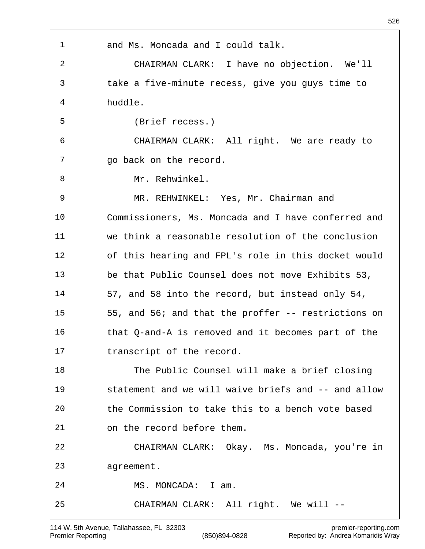| $\mathbf 1$    | and Ms. Moncada and I could talk.                   |
|----------------|-----------------------------------------------------|
| $\overline{a}$ | CHAIRMAN CLARK: I have no objection. We'll          |
| 3              | take a five-minute recess, give you guys time to    |
| 4              | huddle.                                             |
| 5              | (Brief recess.)                                     |
| 6              | CHAIRMAN CLARK: All right. We are ready to          |
| 7              | go back on the record.                              |
| 8              | Mr. Rehwinkel.                                      |
| 9              | MR. REHWINKEL: Yes, Mr. Chairman and                |
| 10             | Commissioners, Ms. Moncada and I have conferred and |
| 11             | we think a reasonable resolution of the conclusion  |
| 12             | of this hearing and FPL's role in this docket would |
| 13             | be that Public Counsel does not move Exhibits 53,   |
| 14             | 57, and 58 into the record, but instead only 54,    |
| 15             | 55, and 56; and that the proffer -- restrictions on |
| 16             | that Q-and-A is removed and it becomes part of the  |
| 17             | transcript of the record.                           |
| 18             | The Public Counsel will make a brief closing        |
| 19             | statement and we will waive briefs and -- and allow |
| 20             | the Commission to take this to a bench vote based   |
| 21             | on the record before them.                          |
| 22             | CHAIRMAN CLARK: Okay. Ms. Moncada, you're in        |
| 23             | agreement.                                          |
| 24             | MS. MONCADA: I am.                                  |
| 25             | CHAIRMAN CLARK: All right. We will --               |
|                |                                                     |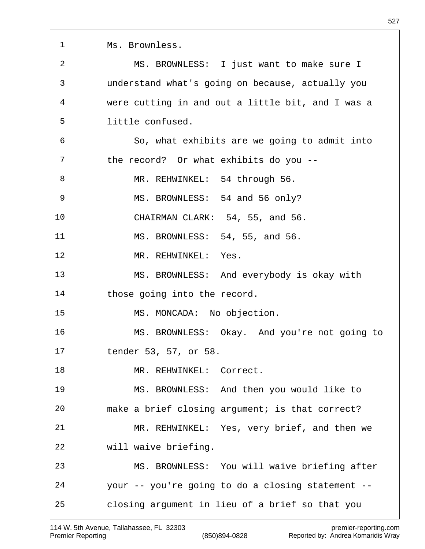| $\mathbf 1$    | Ms. Brownless.                                    |
|----------------|---------------------------------------------------|
| $\overline{2}$ | MS. BROWNLESS: I just want to make sure I         |
| 3              | understand what's going on because, actually you  |
| 4              | were cutting in and out a little bit, and I was a |
| 5              | little confused.                                  |
| 6              | So, what exhibits are we going to admit into      |
| 7              | the record? Or what exhibits do you --            |
| 8              | MR. REHWINKEL: 54 through 56.                     |
| 9              | MS. BROWNLESS: 54 and 56 only?                    |
| 10             | CHAIRMAN CLARK: 54, 55, and 56.                   |
| 11             | MS. BROWNLESS: 54, 55, and 56.                    |
| 12             | MR. REHWINKEL: Yes.                               |
| 13             | MS. BROWNLESS: And everybody is okay with         |
| 14             | those going into the record.                      |
| 15             | MS. MONCADA: No objection.                        |
| 16             | MS. BROWNLESS: Okay. And you're not going to      |
| 17             | tender 53, 57, or 58.                             |
| 18             | MR. REHWINKEL:<br>Correct.                        |
| 19             | MS. BROWNLESS: And then you would like to         |
| 20             | make a brief closing argument; is that correct?   |
| 21             | MR. REHWINKEL: Yes, very brief, and then we       |
| 22             | will waive briefing.                              |
| 23             | MS. BROWNLESS: You will waive briefing after      |
| 24             | your -- you're going to do a closing statement -- |
| 25             | closing argument in lieu of a brief so that you   |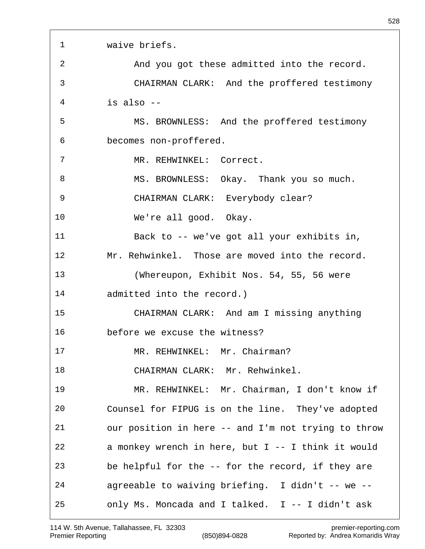| 1  | waive briefs.                                        |
|----|------------------------------------------------------|
| 2  | And you got these admitted into the record.          |
| 3  | CHAIRMAN CLARK: And the proffered testimony          |
| 4  | is also $-$                                          |
| 5  | MS. BROWNLESS: And the proffered testimony           |
| 6  | becomes non-proffered.                               |
| 7  | MR. REHWINKEL: Correct.                              |
| 8  | MS. BROWNLESS: Okay. Thank you so much.              |
| 9  | CHAIRMAN CLARK: Everybody clear?                     |
| 10 | We're all good. Okay.                                |
| 11 | Back to -- we've got all your exhibits in,           |
| 12 | Mr. Rehwinkel. Those are moved into the record.      |
| 13 | (Whereupon, Exhibit Nos. 54, 55, 56 were             |
| 14 | admitted into the record.)                           |
| 15 | CHAIRMAN CLARK: And am I missing anything            |
| 16 | before we excuse the witness?                        |
| 17 | MR. REHWINKEL: Mr. Chairman?                         |
| 18 | CHAIRMAN CLARK: Mr. Rehwinkel.                       |
| 19 | MR. REHWINKEL: Mr. Chairman, I don't know if         |
| 20 | Counsel for FIPUG is on the line. They've adopted    |
| 21 | our position in here -- and I'm not trying to throw  |
| 22 | a monkey wrench in here, but $I$ -- I think it would |
| 23 | be helpful for the -- for the record, if they are    |
| 24 | agreeable to waiving briefing. I didn't -- we --     |
| 25 | only Ms. Moncada and I talked. I -- I didn't ask     |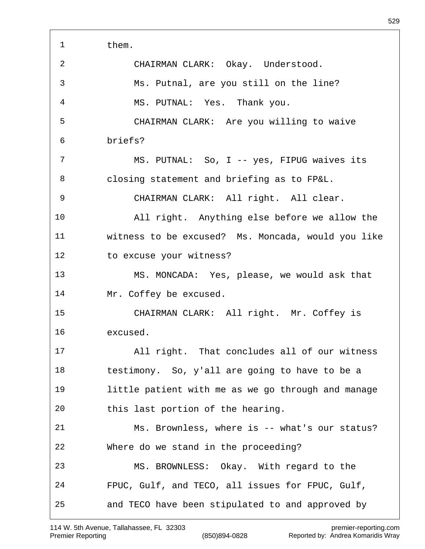| 1  | them.                                              |
|----|----------------------------------------------------|
| 2  | CHAIRMAN CLARK: Okay. Understood.                  |
| 3  | Ms. Putnal, are you still on the line?             |
| 4  | MS. PUTNAL: Yes. Thank you.                        |
| 5  | CHAIRMAN CLARK: Are you willing to waive           |
| 6  | briefs?                                            |
| 7  | MS. PUTNAL: So, I -- yes, FIPUG waives its         |
| 8  | closing statement and briefing as to FP&L.         |
| 9  | CHAIRMAN CLARK: All right. All clear.              |
| 10 | All right. Anything else before we allow the       |
| 11 | witness to be excused? Ms. Moncada, would you like |
| 12 | to excuse your witness?                            |
| 13 | MS. MONCADA: Yes, please, we would ask that        |
| 14 | Mr. Coffey be excused.                             |
| 15 | CHAIRMAN CLARK: All right. Mr. Coffey is           |
| 16 | excused.                                           |
| 17 | All right. That concludes all of our witness       |
| 18 | testimony. So, y'all are going to have to be a     |
| 19 | little patient with me as we go through and manage |
| 20 | this last portion of the hearing.                  |
| 21 | Ms. Brownless, where is -- what's our status?      |
| 22 | Where do we stand in the proceeding?               |
| 23 | MS. BROWNLESS: Okay. With regard to the            |
| 24 | FPUC, Gulf, and TECO, all issues for FPUC, Gulf,   |
| 25 | and TECO have been stipulated to and approved by   |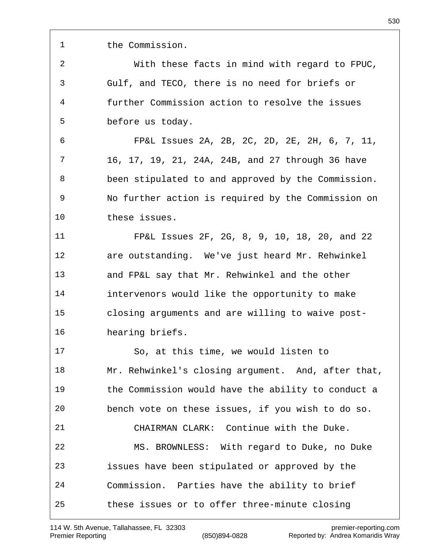the Commission.

 With these facts in mind with regard to FPUC, Gulf, and TECO, there is no need for briefs or further Commission action to resolve the issues before us today.

 FP&L Issues 2A, 2B, 2C, 2D, 2E, 2H, 6, 7, 11, 16, 17, 19, 21, 24A, 24B, and 27 through 36 have been stipulated to and approved by the Commission. No further action is required by the Commission on these issues.

 FP&L Issues 2F, 2G, 8, 9, 10, 18, 20, and 22 are outstanding. We've just heard Mr. Rehwinkel and FP&L say that Mr. Rehwinkel and the other intervenors would like the opportunity to make closing arguments and are willing to waive post-hearing briefs.

 So, at this time, we would listen to Mr. Rehwinkel's closing argument. And, after that, the Commission would have the ability to conduct a bench vote on these issues, if you wish to do so. CHAIRMAN CLARK: Continue with the Duke. MS. BROWNLESS: With regard to Duke, no Duke issues have been stipulated or approved by the Commission. Parties have the ability to brief these issues or to offer three-minute closing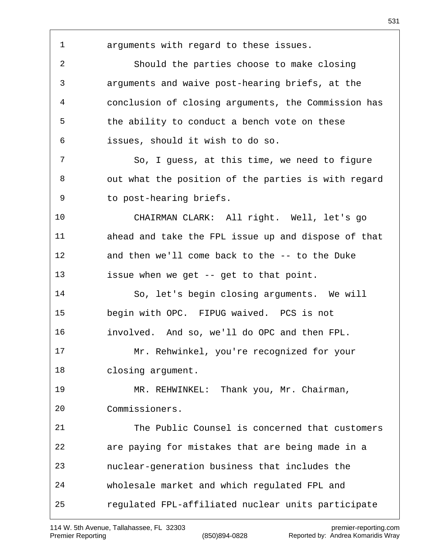arguments with regard to these issues. Should the parties choose to make closing arguments and waive post-hearing briefs, at the conclusion of closing arguments, the Commission has the ability to conduct a bench vote on these issues, should it wish to do so. So, I guess, at this time, we need to figure out what the position of the parties is with regard to post-hearing briefs. CHAIRMAN CLARK: All right. Well, let's go ahead and take the FPL issue up and dispose of that and then we'll come back to the -- to the Duke issue when we get -- get to that point. So, let's begin closing arguments. We will begin with OPC. FIPUG waived. PCS is not involved. And so, we'll do OPC and then FPL. Mr. Rehwinkel, you're recognized for your closing argument. MR. REHWINKEL: Thank you, Mr. Chairman, Commissioners. The Public Counsel is concerned that customers are paying for mistakes that are being made in a nuclear-generation business that includes the wholesale market and which regulated FPL and regulated FPL-affiliated nuclear units participate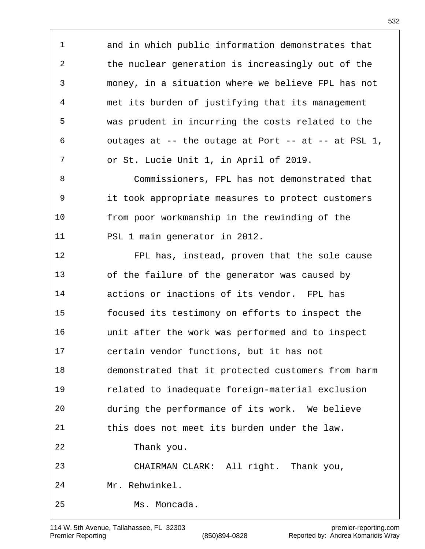and in which public information demonstrates that the nuclear generation is increasingly out of the money, in a situation where we believe FPL has not met its burden of justifying that its management was prudent in incurring the costs related to the 6 outages at  $-$ - the outage at Port  $-$ - at  $-$ - at PSL 1, or St. Lucie Unit 1, in April of 2019. Commissioners, FPL has not demonstrated that it took appropriate measures to protect customers from poor workmanship in the rewinding of the PSL 1 main generator in 2012. FPL has, instead, proven that the sole cause of the failure of the generator was caused by actions or inactions of its vendor. FPL has focused its testimony on efforts to inspect the unit after the work was performed and to inspect certain vendor functions, but it has not demonstrated that it protected customers from harm related to inadequate foreign-material exclusion during the performance of its work. We believe this does not meet its burden under the law. Thank you. CHAIRMAN CLARK: All right. Thank you, Mr. Rehwinkel. Ms. Moncada.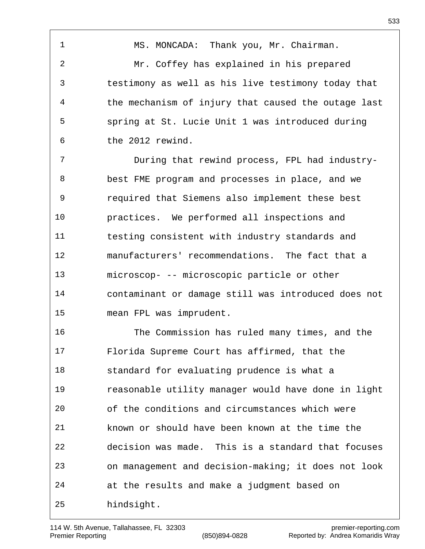1 MS. MONCADA: Thank you, Mr. Chairman. Mr. Coffey has explained in his prepared testimony as well as his live testimony today that the mechanism of injury that caused the outage last spring at St. Lucie Unit 1 was introduced during the 2012 rewind.

 During that rewind process, FPL had industry- best FME program and processes in place, and we required that Siemens also implement these best practices. We performed all inspections and testing consistent with industry standards and manufacturers' recommendations. The fact that a microscop- -- microscopic particle or other contaminant or damage still was introduced does not mean FPL was imprudent.

 The Commission has ruled many times, and the Florida Supreme Court has affirmed, that the standard for evaluating prudence is what a reasonable utility manager would have done in light of the conditions and circumstances which were known or should have been known at the time the decision was made. This is a standard that focuses on management and decision-making; it does not look at the results and make a judgment based on hindsight.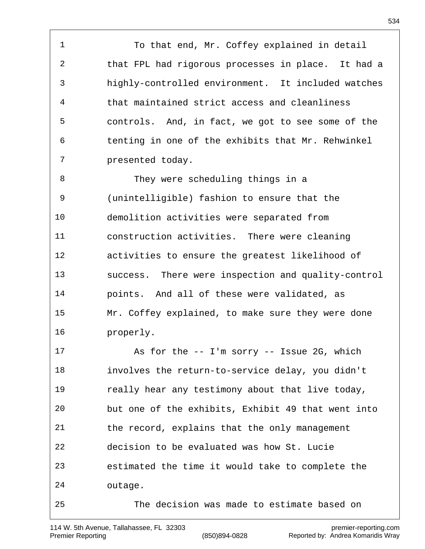1 To that end, Mr. Coffey explained in detail that FPL had rigorous processes in place. It had a highly-controlled environment. It included watches that maintained strict access and cleanliness controls. And, in fact, we got to see some of the tenting in one of the exhibits that Mr. Rehwinkel presented today.

 They were scheduling things in a (unintelligible) fashion to ensure that the demolition activities were separated from construction activities. There were cleaning activities to ensure the greatest likelihood of success. There were inspection and quality-control points. And all of these were validated, as Mr. Coffey explained, to make sure they were done properly.

 As for the -- I'm sorry -- Issue 2G, which involves the return-to-service delay, you didn't really hear any testimony about that live today, but one of the exhibits, Exhibit 49 that went into the record, explains that the only management decision to be evaluated was how St. Lucie estimated the time it would take to complete the outage. The decision was made to estimate based on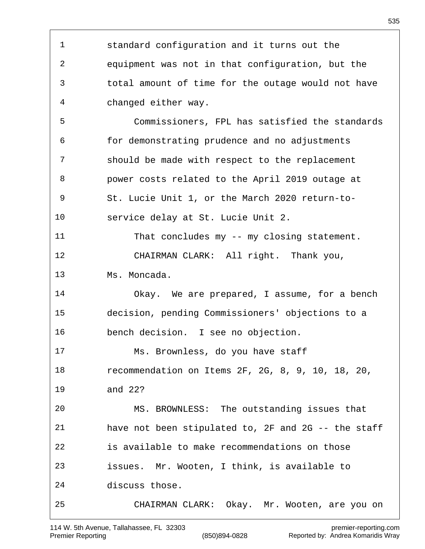standard configuration and it turns out the equipment was not in that configuration, but the total amount of time for the outage would not have changed either way. Commissioners, FPL has satisfied the standards for demonstrating prudence and no adjustments should be made with respect to the replacement power costs related to the April 2019 outage at St. Lucie Unit 1, or the March 2020 return-to- service delay at St. Lucie Unit 2. That concludes my -- my closing statement. CHAIRMAN CLARK: All right. Thank you, Ms. Moncada. Okay. We are prepared, I assume, for a bench decision, pending Commissioners' objections to a bench decision. I see no objection. Ms. Brownless, do you have staff recommendation on Items 2F, 2G, 8, 9, 10, 18, 20, and 22? MS. BROWNLESS: The outstanding issues that have not been stipulated to, 2F and 2G -- the staff is available to make recommendations on those issues. Mr. Wooten, I think, is available to discuss those. CHAIRMAN CLARK: Okay. Mr. Wooten, are you on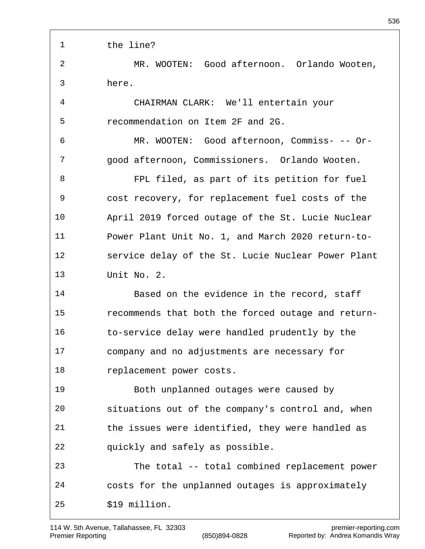the line? MR. WOOTEN: Good afternoon. Orlando Wooten, here. CHAIRMAN CLARK: We'll entertain your recommendation on Item 2F and 2G. MR. WOOTEN: Good afternoon, Commiss- -- Or- good afternoon, Commissioners. Orlando Wooten. FPL filed, as part of its petition for fuel cost recovery, for replacement fuel costs of the April 2019 forced outage of the St. Lucie Nuclear Power Plant Unit No. 1, and March 2020 return-to- service delay of the St. Lucie Nuclear Power Plant Unit No. 2. Based on the evidence in the record, staff recommends that both the forced outage and return- to-service delay were handled prudently by the company and no adjustments are necessary for replacement power costs. Both unplanned outages were caused by situations out of the company's control and, when the issues were identified, they were handled as quickly and safely as possible. The total -- total combined replacement power costs for the unplanned outages is approximately \$19 million.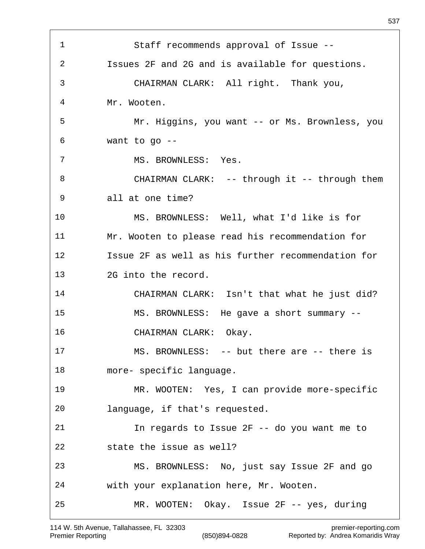| 1  | Staff recommends approval of Issue --              |
|----|----------------------------------------------------|
| 2  | Issues 2F and 2G and is available for questions.   |
| 3  | CHAIRMAN CLARK: All right. Thank you,              |
| 4  | Mr. Wooten.                                        |
| 5  | Mr. Higgins, you want -- or Ms. Brownless, you     |
| 6  | want to go $-$ -                                   |
| 7  | MS. BROWNLESS: Yes.                                |
| 8  | CHAIRMAN CLARK: -- through it -- through them      |
| 9  | all at one time?                                   |
| 10 | MS. BROWNLESS: Well, what I'd like is for          |
| 11 | Mr. Wooten to please read his recommendation for   |
| 12 | Issue 2F as well as his further recommendation for |
| 13 | 2G into the record.                                |
| 14 | CHAIRMAN CLARK: Isn't that what he just did?       |
| 15 | MS. BROWNLESS: He gave a short summary --          |
| 16 | CHAIRMAN CLARK: Okay.                              |
| 17 | MS. BROWNLESS: -- but there are -- there is        |
| 18 | more- specific language.                           |
| 19 | MR. WOOTEN: Yes, I can provide more-specific       |
| 20 | language, if that's requested.                     |
| 21 | In regards to Issue 2F -- do you want me to        |
| 22 | state the issue as well?                           |
| 23 | MS. BROWNLESS: No, just say Issue 2F and go        |
| 24 | with your explanation here, Mr. Wooten.            |
| 25 | MR. WOOTEN: Okay. Issue 2F -- yes, during          |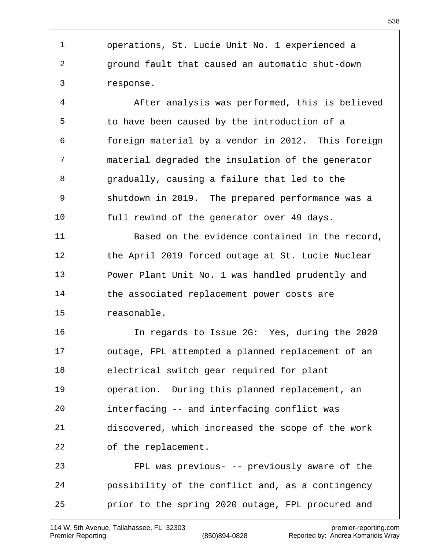operations, St. Lucie Unit No. 1 experienced a ground fault that caused an automatic shut-down response.

 After analysis was performed, this is believed to have been caused by the introduction of a foreign material by a vendor in 2012. This foreign material degraded the insulation of the generator gradually, causing a failure that led to the shutdown in 2019. The prepared performance was a full rewind of the generator over 49 days.

 Based on the evidence contained in the record, the April 2019 forced outage at St. Lucie Nuclear Power Plant Unit No. 1 was handled prudently and the associated replacement power costs are reasonable.

 In regards to Issue 2G: Yes, during the 2020 outage, FPL attempted a planned replacement of an electrical switch gear required for plant operation. During this planned replacement, an interfacing -- and interfacing conflict was discovered, which increased the scope of the work of the replacement. FPL was previous- -- previously aware of the possibility of the conflict and, as a contingency prior to the spring 2020 outage, FPL procured and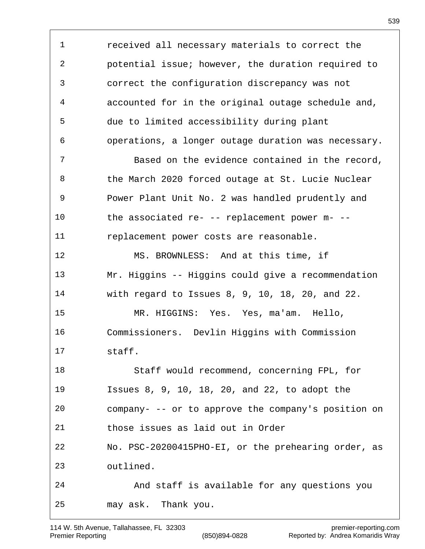received all necessary materials to correct the potential issue; however, the duration required to correct the configuration discrepancy was not accounted for in the original outage schedule and, due to limited accessibility during plant operations, a longer outage duration was necessary. Based on the evidence contained in the record, the March 2020 forced outage at St. Lucie Nuclear Power Plant Unit No. 2 was handled prudently and the associated re- -- replacement power m- -- replacement power costs are reasonable. MS. BROWNLESS: And at this time, if Mr. Higgins -- Higgins could give a recommendation with regard to Issues 8, 9, 10, 18, 20, and 22. MR. HIGGINS: Yes. Yes, ma'am. Hello, Commissioners. Devlin Higgins with Commission staff. Staff would recommend, concerning FPL, for Issues 8, 9, 10, 18, 20, and 22, to adopt the company- -- or to approve the company's position on those issues as laid out in Order No. PSC-20200415PHO-EI, or the prehearing order, as outlined. And staff is available for any questions you may ask. Thank you.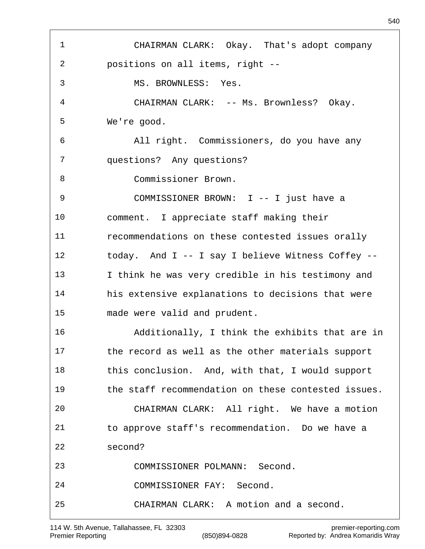CHAIRMAN CLARK: Okay. That's adopt company positions on all items, right -- MS. BROWNLESS: Yes. CHAIRMAN CLARK: -- Ms. Brownless? Okay. We're good. All right. Commissioners, do you have any questions? Any questions? Commissioner Brown. COMMISSIONER BROWN: I -- I just have a comment. I appreciate staff making their recommendations on these contested issues orally today. And I -- I say I believe Witness Coffey -- I think he was very credible in his testimony and his extensive explanations to decisions that were made were valid and prudent. Additionally, I think the exhibits that are in the record as well as the other materials support this conclusion. And, with that, I would support the staff recommendation on these contested issues. CHAIRMAN CLARK: All right. We have a motion to approve staff's recommendation. Do we have a second? COMMISSIONER POLMANN: Second. COMMISSIONER FAY: Second. CHAIRMAN CLARK: A motion and a second.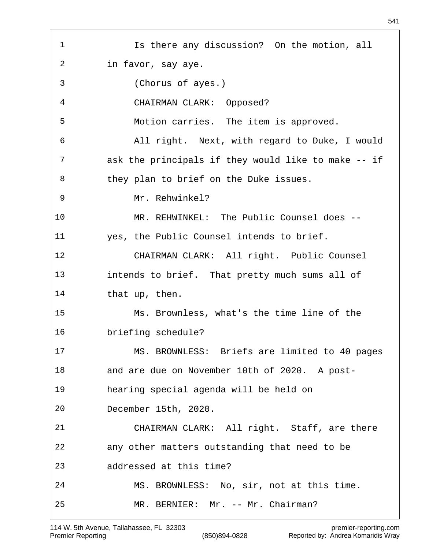Is there any discussion? On the motion, all in favor, say aye. (Chorus of ayes.) CHAIRMAN CLARK: Opposed? Motion carries. The item is approved. All right. Next, with regard to Duke, I would ask the principals if they would like to make -- if they plan to brief on the Duke issues. Mr. Rehwinkel? MR. REHWINKEL: The Public Counsel does -- yes, the Public Counsel intends to brief. CHAIRMAN CLARK: All right. Public Counsel intends to brief. That pretty much sums all of 14 that up, then. Ms. Brownless, what's the time line of the briefing schedule? MS. BROWNLESS: Briefs are limited to 40 pages and are due on November 10th of 2020. A post- hearing special agenda will be held on December 15th, 2020. CHAIRMAN CLARK: All right. Staff, are there any other matters outstanding that need to be addressed at this time? MS. BROWNLESS: No, sir, not at this time. MR. BERNIER: Mr. -- Mr. Chairman?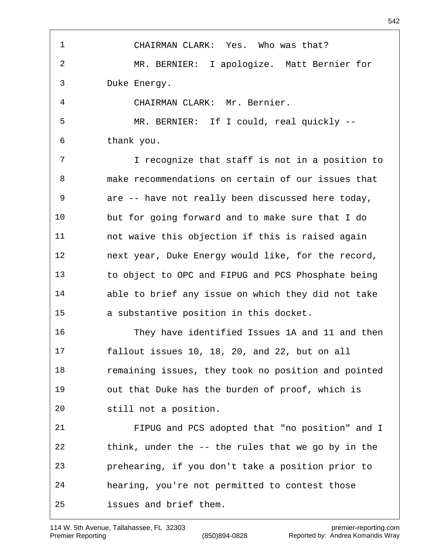CHAIRMAN CLARK: Yes. Who was that? MR. BERNIER: I apologize. Matt Bernier for Duke Energy. CHAIRMAN CLARK: Mr. Bernier. MR. BERNIER: If I could, real quickly -- thank you. I recognize that staff is not in a position to make recommendations on certain of our issues that are -- have not really been discussed here today, but for going forward and to make sure that I do not waive this objection if this is raised again next year, Duke Energy would like, for the record, to object to OPC and FIPUG and PCS Phosphate being able to brief any issue on which they did not take a substantive position in this docket. They have identified Issues 1A and 11 and then fallout issues 10, 18, 20, and 22, but on all remaining issues, they took no position and pointed out that Duke has the burden of proof, which is still not a position. FIPUG and PCS adopted that "no position" and I think, under the -- the rules that we go by in the prehearing, if you don't take a position prior to hearing, you're not permitted to contest those issues and brief them.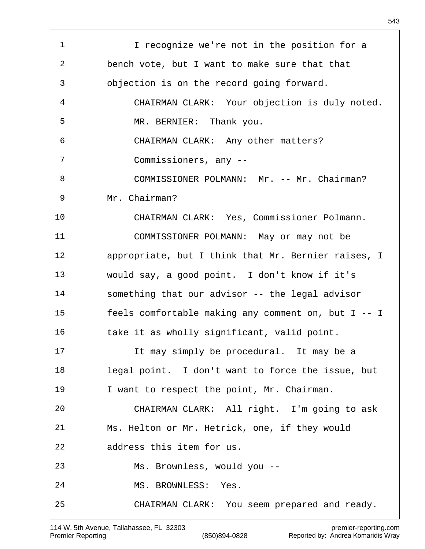1 I recognize we're not in the position for a bench vote, but I want to make sure that that objection is on the record going forward. CHAIRMAN CLARK: Your objection is duly noted. MR. BERNIER: Thank you. CHAIRMAN CLARK: Any other matters? Commissioners, any -- 8 COMMISSIONER POLMANN: Mr. -- Mr. Chairman? Mr. Chairman? CHAIRMAN CLARK: Yes, Commissioner Polmann. COMMISSIONER POLMANN: May or may not be appropriate, but I think that Mr. Bernier raises, I would say, a good point. I don't know if it's something that our advisor -- the legal advisor feels comfortable making any comment on, but I -- I 16 take it as wholly significant, valid point. It may simply be procedural. It may be a legal point. I don't want to force the issue, but I want to respect the point, Mr. Chairman. CHAIRMAN CLARK: All right. I'm going to ask Ms. Helton or Mr. Hetrick, one, if they would address this item for us. Ms. Brownless, would you -- MS. BROWNLESS: Yes. CHAIRMAN CLARK: You seem prepared and ready.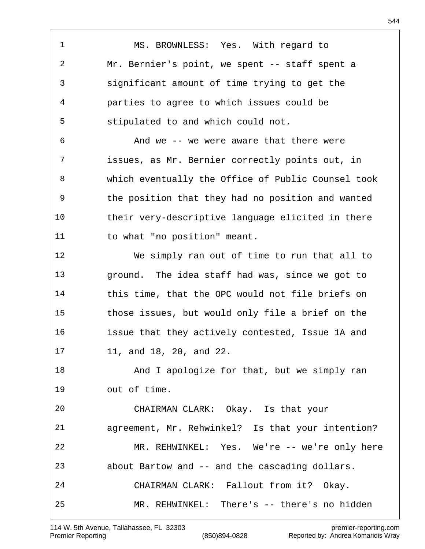MS. BROWNLESS: Yes. With regard to Mr. Bernier's point, we spent -- staff spent a significant amount of time trying to get the parties to agree to which issues could be stipulated to and which could not. And we -- we were aware that there were issues, as Mr. Bernier correctly points out, in which eventually the Office of Public Counsel took the position that they had no position and wanted their very-descriptive language elicited in there to what "no position" meant. We simply ran out of time to run that all to ground. The idea staff had was, since we got to this time, that the OPC would not file briefs on those issues, but would only file a brief on the issue that they actively contested, Issue 1A and 11, and 18, 20, and 22. 18 And I apologize for that, but we simply ran out of time. CHAIRMAN CLARK: Okay. Is that your agreement, Mr. Rehwinkel? Is that your intention? MR. REHWINKEL: Yes. We're -- we're only here about Bartow and -- and the cascading dollars. CHAIRMAN CLARK: Fallout from it? Okay. MR. REHWINKEL: There's -- there's no hidden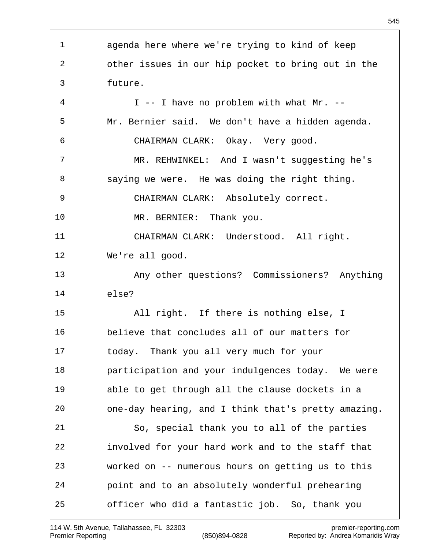agenda here where we're trying to kind of keep other issues in our hip pocket to bring out in the future. I -- I have no problem with what Mr. -- Mr. Bernier said. We don't have a hidden agenda. CHAIRMAN CLARK: Okay. Very good. MR. REHWINKEL: And I wasn't suggesting he's saying we were. He was doing the right thing. CHAIRMAN CLARK: Absolutely correct. MR. BERNIER: Thank you. CHAIRMAN CLARK: Understood. All right. We're all good. Any other questions? Commissioners? Anything else? All right. If there is nothing else, I believe that concludes all of our matters for today. Thank you all very much for your participation and your indulgences today. We were able to get through all the clause dockets in a one-day hearing, and I think that's pretty amazing. So, special thank you to all of the parties involved for your hard work and to the staff that worked on -- numerous hours on getting us to this point and to an absolutely wonderful prehearing officer who did a fantastic job. So, thank you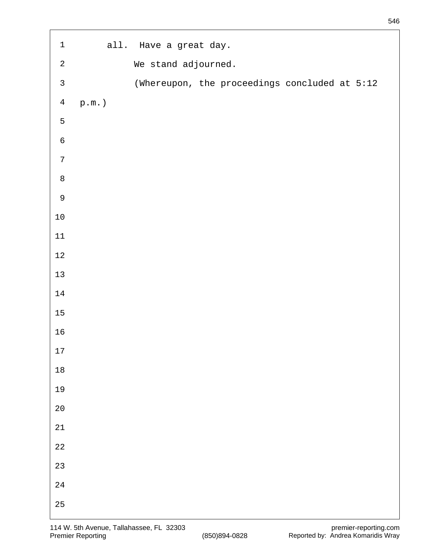| $\ensuremath{\mathbbm{1}}$ |                   | all. Have a great day. |                                               |  |  |
|----------------------------|-------------------|------------------------|-----------------------------------------------|--|--|
| $\sqrt{2}$                 |                   | We stand adjourned.    |                                               |  |  |
| $\mathsf{3}$               |                   |                        | (Whereupon, the proceedings concluded at 5:12 |  |  |
| $\overline{4}$             | $\texttt{p.m.}$ ) |                        |                                               |  |  |
| $\mathsf S$                |                   |                        |                                               |  |  |
| $\sqrt{6}$                 |                   |                        |                                               |  |  |
| $\sqrt{ }$                 |                   |                        |                                               |  |  |
| $\, 8$                     |                   |                        |                                               |  |  |
| $\mathsf 9$                |                   |                        |                                               |  |  |
| $1\,0$                     |                   |                        |                                               |  |  |
| $11\,$                     |                   |                        |                                               |  |  |
| $1\,2$                     |                   |                        |                                               |  |  |
| $13\,$                     |                   |                        |                                               |  |  |
| $14\,$                     |                   |                        |                                               |  |  |
| $15\,$                     |                   |                        |                                               |  |  |
| $16$                       |                   |                        |                                               |  |  |
| $17\,$                     |                   |                        |                                               |  |  |
| $1\,8$                     |                   |                        |                                               |  |  |
| 19                         |                   |                        |                                               |  |  |
| $2\,0$                     |                   |                        |                                               |  |  |
| $21\,$                     |                   |                        |                                               |  |  |
| $2\sqrt{2}$                |                   |                        |                                               |  |  |
| $2\sqrt{3}$                |                   |                        |                                               |  |  |
| $2\sqrt{4}$                |                   |                        |                                               |  |  |
| $25\,$                     |                   |                        |                                               |  |  |

 $\overline{1}$